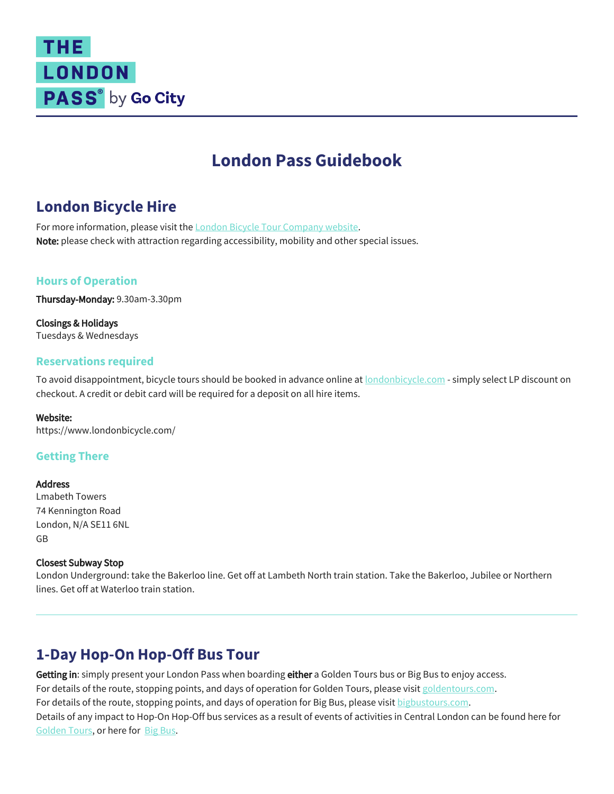# **THE** LONDON PASS<sup>®</sup> by Go City

# **London Pass Guidebook**

# **London Bicycle Hire**

For more information, please visit the [L](https://www.londoneye.com/)[ondon Bicycle Tour Company website](https://www.londonbicycle.com/). Note: please check with attraction regarding accessibility, mobility and other special issues.

## **Hours of Operation**

Thursday-Monday: 9.30am-3.30pm

Closings & Holidays Tuesdays & Wednesdays

### **Reservations required**

To avoid disappointment, bicycle tours should be booked in advance online at [londonbicycle.com](http://www.londonbicycle.com/) - simply select LP discount on checkout. A credit or debit card will be required for a deposit on all hire items.

#### Website:

https://www.londonbicycle.com/

## **Getting There**

**Address** Lmabeth Towers 74 Kennington Road London, N/A SE11 6NL GB

#### Closest Subway Stop

London Underground: take the Bakerloo line. Get off at Lambeth North train station. Take the Bakerloo, Jubilee or Northern lines. Get off at Waterloo train station.

# **1-Day Hop-On Hop-Off Bus Tour**

Getting in: simply present your London Pass when boarding either a Golden Tours bus or Big Bus to enjoy access. For details of the route, stopping points, and days of operation for Golden Tours, please visit [goldentours.com](https://www.goldentours.com/london-hop-on-hop-off-bus-tours/hop-on-hop-off-london-bus-tour-24-hr-ticket). For details of the route, stopping points, and days of operation for Big Bus, please visit [bigbustours.com](https://www.bigbustours.com/en/london/london-routes-and-tour-maps/). Details of any impact to Hop-On Hop-Off bus services as a result of events of activities in Central London can be found here for [Golden Tours](https://www.goldentours.com/london-hop-on-hop-off-bus-tours/hop-on-hop-off-london-bus-tour-24-hr-ticket), or here for [Big Bus](https://www.bigbustours.com/en/london/service-information/).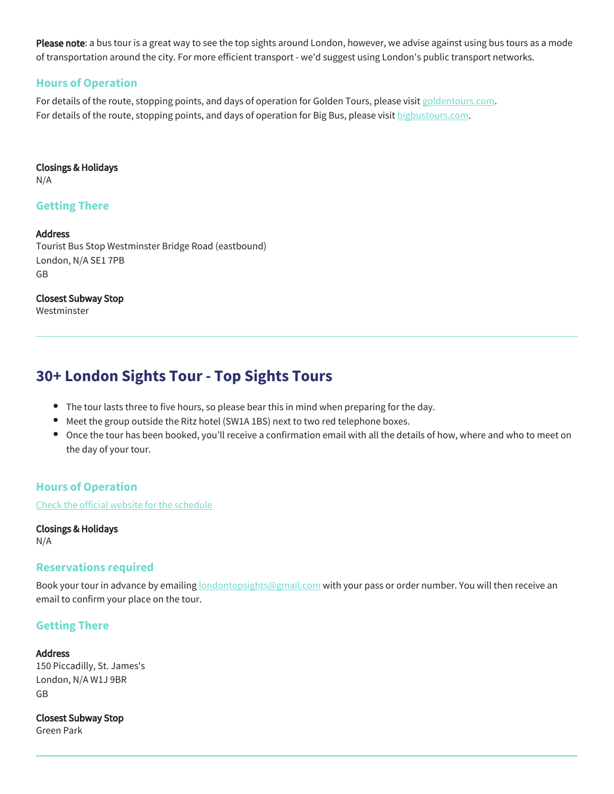Please note: a bus tour is a great way to see the top sights around London, however, we advise against using bus tours as a mode of transportation around the city. For more efficient transport - we'd suggest using London's public transport networks.

## **Hours of Operation**

For details of the route, stopping points, and days of operation for Golden Tours, please visit [goldentours.com](https://www.goldentours.com/london-hop-on-hop-off-bus-tours/hop-on-hop-off-london-bus-tour-24-hr-ticket). For details of the route, stopping points, and days of operation for Big Bus, please visit [bigbustours.com](https://www.bigbustours.com/en/london/london-routes-and-tour-maps/).

#### Closings & Holidays

N/A

## **Getting There**

#### **Address**

Tourist Bus Stop Westminster Bridge Road (eastbound) London, N/A SE1 7PB GB

## Closest Subway Stop

Westminster

# **30+ London Sights Tour - Top Sights Tours**

- The tour lasts three to five hours, so please bear this in mind when preparing for the day.
- $\bullet$ Meet the group outside the Ritz hotel (SW1A 1BS) next to two red telephone boxes.
- Once the tour has been booked, you'll receive a confirmation email with all the details of how, where and who to meet on the day of your tour.

## **Hours of Operation**

[Check the official website for the schedule](https://www.londontopsightstours.com/tour/see-30-london-sights-fun-local-guide/)

Closings & Holidays N/A

## **Reservations required**

Book your tour in advance by emailing **londontopsights@gmail.com** with your pass or order number. You will then receive an email to confirm your place on the tour.

## **Getting There**

#### **Address**

150 Piccadilly, St. James's London, N/A W1J 9BR GB

Closest Subway Stop Green Park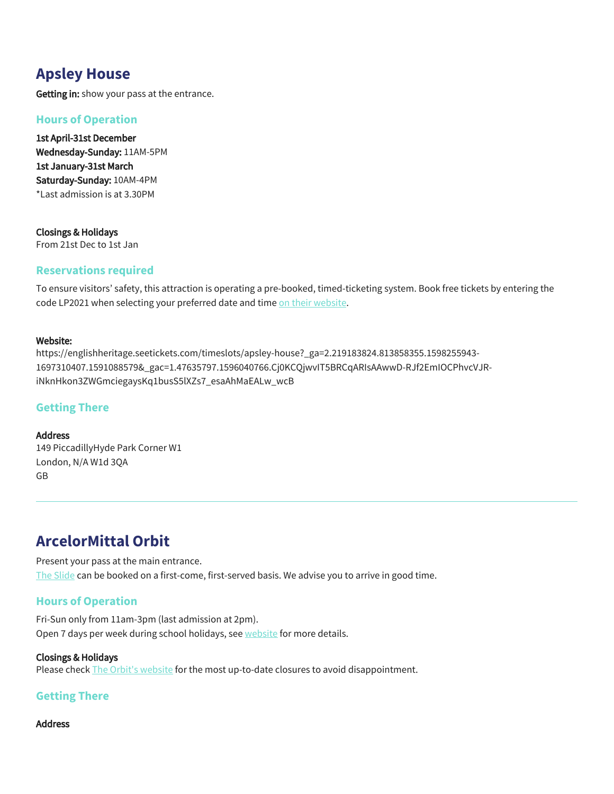# **Apsley House**

Getting in: show your pass at the entrance.

## **Hours of Operation**

1st April-31st December Wednesday-Sunday: 11AM-5PM 1st January-31st March Saturday-Sunday: 10AM-4PM \*Last admission is at 3.30PM

Closings & Holidays From 21st Dec to 1st Jan

## **Reservations required**

To ensure visitors' safety, this attraction is operating a pre-booked, timed-ticketing system. Book free tickets by entering the code LP2021 when selecting your preferred date and time [on their website.](https://englishheritage.seetickets.com/timeslots/apsley-house?_ga=2.219183824.813858355.1598255943-1697310407.1591088579&_gac=1.47635797.1596040766.Cj0KCQjwvIT5BRCqARIsAAwwD-RJf2EmIOCPhvcVJR-iNknHkon3ZWGmciegaysKq1busS5lXZs7_esaAhMaEALw_wcB)

#### Website:

https://englishheritage.seetickets.com/timeslots/apsley-house?\_ga=2.219183824.813858355.1598255943- 1697310407.1591088579&\_gac=1.47635797.1596040766.Cj0KCQjwvIT5BRCqARIsAAwwD-RJf2EmIOCPhvcVJRiNknHkon3ZWGmciegaysKq1busS5lXZs7\_esaAhMaEALw\_wcB

## **Getting There**

Address 149 PiccadillyHyde Park Corner W1 London, N/A W1d 3QA GB

# **ArcelorMittal Orbit**

Present your pass at the main entrance. [The Slide](http://arcelormittalorbit.com/whats-on/the-slide/) can be booked on a first-come, first-served basis. We advise you to arrive in good time.

## **Hours of Operation**

Fri-Sun only from 11am-3pm (last admission at 2pm). Open 7 days per week during school holidays, see [website](https://arcelormittalorbit.com/visit/opening-times-prices/) for more details.

#### Closings & Holidays

Please check [The Orbit's website](https://arcelormittalorbit.com/) for the most up-to-date closures to avoid disappointment.

## **Getting There**

#### Address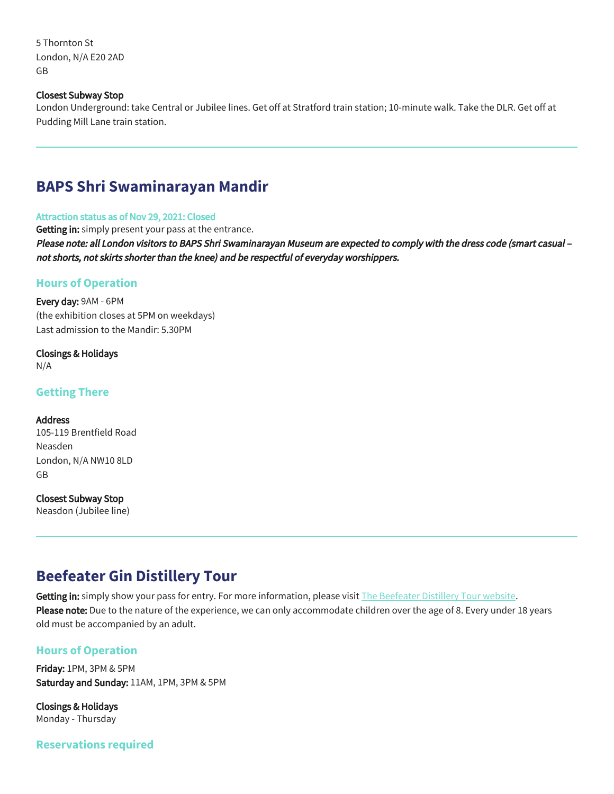5 Thornton St London, N/A E20 2AD GB

#### Closest Subway Stop

London Underground: take Central or Jubilee lines. Get off at Stratford train station; 10-minute walk. Take the DLR. Get off at Pudding Mill Lane train station.

## **BAPS Shri Swaminarayan Mandir**

#### Attraction status as of Nov 29, 2021: Closed

Getting in: simply present your pass at the entrance.

Please note: all London visitors to BAPS Shri Swaminarayan Museum are expected to comply with the dress code (smart casual – not shorts, not skirts shorter than the knee) and be respectful of everyday worshippers.

#### **Hours of Operation**

Every day: 9AM - 6PM (the exhibition closes at 5PM on weekdays) Last admission to the Mandir: 5.30PM

Closings & Holidays N/A

**Getting There**

#### Address

105-119 Brentfield Road Neasden London, N/A NW10 8LD GB

Closest Subway Stop

Neasdon (Jubilee line)

# **Beefeater Gin Distillery Tour**

Getting in: simply show your pass for entry. For more information, please visit [The](https://www.beefeaterdistillery.com/) [B](https://www.londoneye.com/)[eefeater Distillery Tour website](https://www.beefeaterdistillery.com/). Please note: Due to the nature of the experience, we can only accommodate children over the age of 8. Every under 18 years old must be accompanied by an adult.

#### **Hours of Operation**

Friday: 1PM, 3PM & 5PM Saturday and Sunday: 11AM, 1PM, 3PM & 5PM

Closings & Holidays Monday - Thursday

**Reservations required**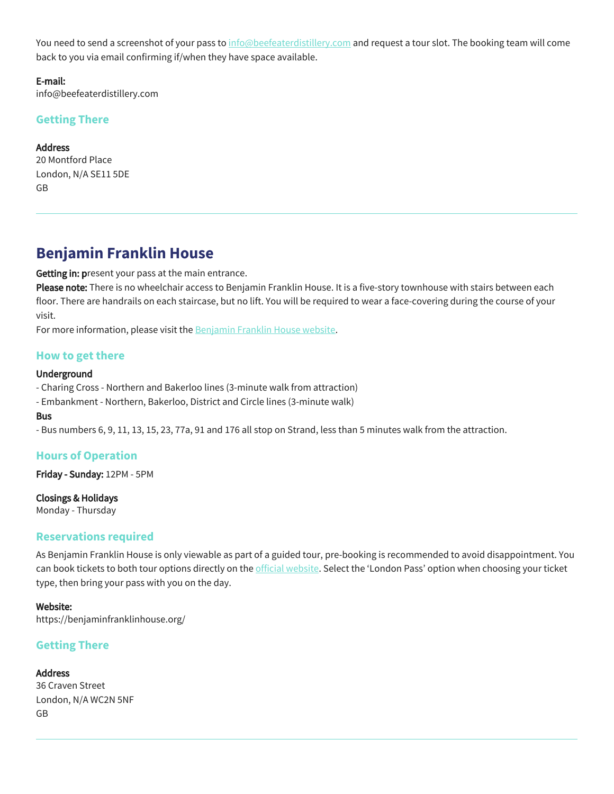You need to send a screenshot of your pass to [info@beefeaterdistillery.com](mailto:info@beefeaterdistillery.com) and request a tour slot. The booking team will come back to you via email confirming if/when they have space available.

E-mail: info@beefeaterdistillery.com

## **Getting There**

**Address** 20 Montford Place London, N/A SE11 5DE GB

## **Benjamin Franklin House**

Getting in: present your pass at the main entrance.

Please note: There is no wheelchair access to Benjamin Franklin House. It is a five-story townhouse with stairs between each floor. There are handrails on each staircase, but no lift. You will be required to wear a face-covering during the course of your visit.

For more information, please visit the **[B](https://www.londoneye.com/)[enjamin Franklin House website](https://benjaminfranklinhouse.org/)**.

## **How to get there**

#### Underground

- Charing Cross - Northern and Bakerloo lines (3-minute walk from attraction)

- Embankment - Northern, Bakerloo, District and Circle lines (3-minute walk)

#### Bus

- Bus numbers 6, 9, 11, 13, 15, 23, 77a, 91 and 176 all stop on Strand, less than 5 minutes walk from the attraction.

## **Hours of Operation**

Friday - Sunday: 12PM - 5PM

Closings & Holidays

Monday - Thursday

## **Reservations required**

As Benjamin Franklin House is only viewable as part of a guided tour, pre-booking is recommended to avoid disappointment. You can book tickets to both tour options directly on the [official website](https://benjaminfranklinhouse.org/). Select the 'London Pass' option when choosing your ticket type, then bring your pass with you on the day.

#### Website:

https://benjaminfranklinhouse.org/

## **Getting There**

#### **Address**

36 Craven Street London, N/A WC2N 5NF GB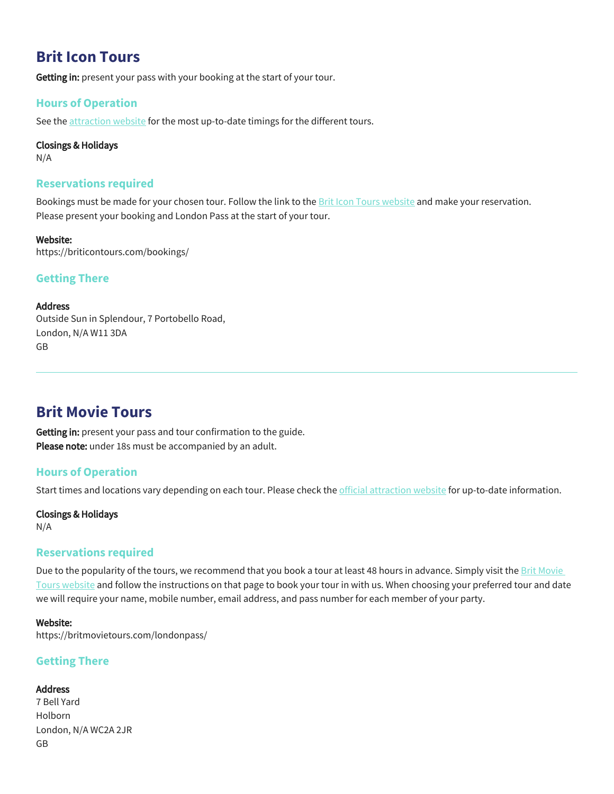## **Brit Icon Tours**

Getting in: present your pass with your booking at the start of your tour.

### **Hours of Operation**

See the [attraction website](https://briticontours.com/bookings/) for the most up-to-date timings for the different tours.

#### Closings & Holidays

N/A

#### **Reservations required**

Bookings must be made for your chosen tour. Follow the link to the **Brit Icon Tours website** and make your reservation. Please present your booking and London Pass at the start of your tour.

#### Website:

https://briticontours.com/bookings/

### **Getting There**

#### Address

Outside Sun in Splendour, 7 Portobello Road, London, N/A W11 3DA GB

## **Brit Movie Tours**

Getting in: present your pass and tour confirmation to the guide. Please note: under 18s must be accompanied by an adult.

## **Hours of Operation**

Start times and locations vary depending on each tour. Please check the [official attraction website](https://britmovietours.com/bookings/) for up-to-date information.

## Closings & Holidays

N/A

## **Reservations required**

Due to the popularity of the tours, we recommend that you book a tour at least 48 hours in advance. Simply visit the Brit Movie [Tours website](https://britmovietours.com/londonpass/) and follow the instructions on that page to book your tour in with us. When choosing your preferred tour and date we will require your name, mobile number, email address, and pass number for each member of your party.

#### Website:

https://britmovietours.com/londonpass/

## **Getting There**

#### Address

7 Bell Yard Holborn London, N/A WC2A 2JR GB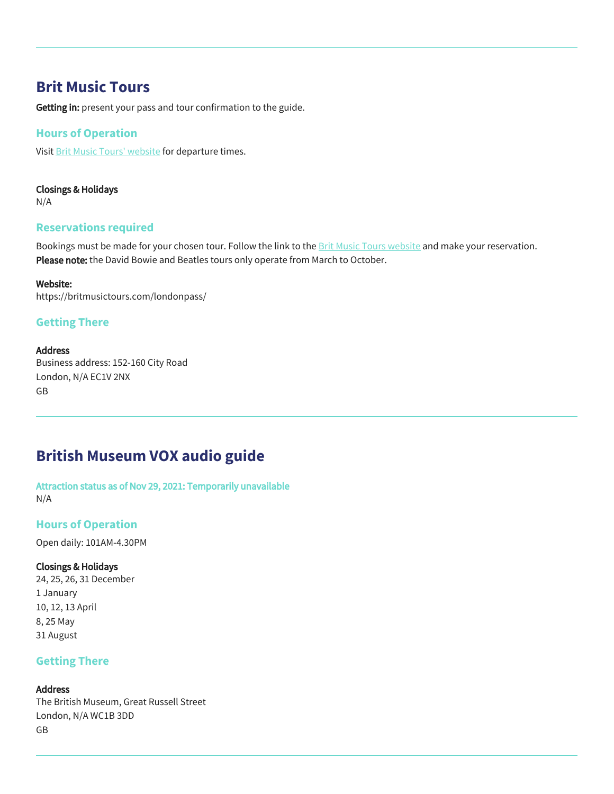## **Brit Music Tours**

Getting in: present your pass and tour confirmation to the guide.

### **Hours of Operation**

Visit [Brit Music Tours' website](https://britmusictours.com/londonpass/) for departure times.

### Closings & Holidays

N/A

## **Reservations required**

Bookings must be made for your chosen tour. Follow the link to the **Brit Music Tours website** and make your reservation. Please note: the David Bowie and Beatles tours only operate from March to October.

#### Website:

https://britmusictours.com/londonpass/

## **Getting There**

#### **Address**

Business address: 152-160 City Road London, N/A EC1V 2NX GB

# **British Museum VOX audio guide**

Attraction status as of Nov 29, 2021: Temporarily unavailable N/A

## **Hours of Operation**

Open daily: 101AM-4.30PM

#### Closings & Holidays

24, 25, 26, 31 December 1 January 10, 12, 13 April 8, 25 May 31 August

## **Getting There**

#### Address

The British Museum, Great Russell Street London, N/A WC1B 3DD GB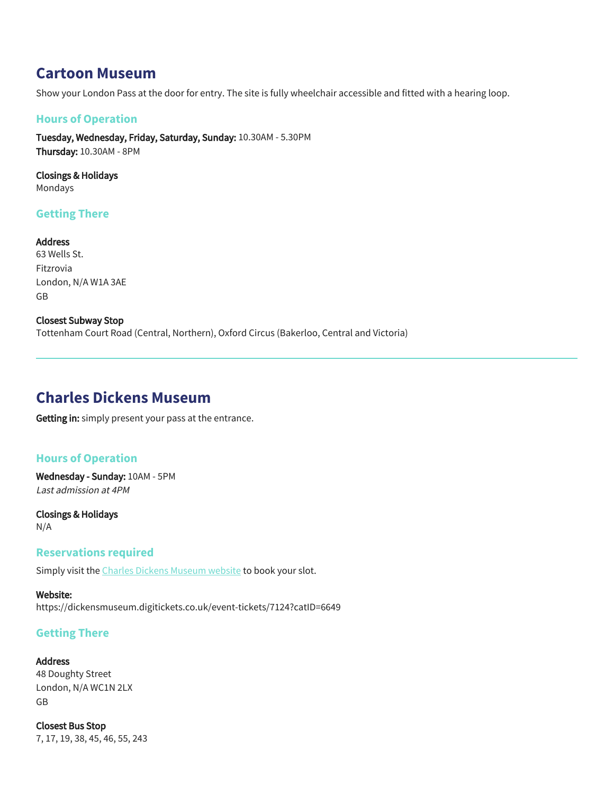## **Cartoon Museum**

Show your London Pass at the door for entry. The site is fully wheelchair accessible and fitted with a hearing loop.

## **Hours of Operation**

Tuesday, Wednesday, Friday, Saturday, Sunday: 10.30AM - 5.30PM Thursday: 10.30AM - 8PM

Closings & Holidays Mondays

## **Getting There**

Address 63 Wells St. Fitzrovia London, N/A W1A 3AE GB

Closest Subway Stop Tottenham Court Road (Central, Northern), Oxford Circus (Bakerloo, Central and Victoria)

## **Charles Dickens Museum**

Getting in: simply present your pass at the entrance.

## **Hours of Operation**

Wednesday - Sunday: 10AM - 5PM Last admission at 4PM

Closings & Holidays N/A

#### **Reservations required**

Simply visit the [Charles Dickens Museum website](https://dickensmuseum.digitickets.co.uk/event-tickets/7124?catID=6649) to book your slot.

#### Website:

https://dickensmuseum.digitickets.co.uk/event-tickets/7124?catID=6649

#### **Getting There**

Address

48 Doughty Street London, N/A WC1N 2LX GB

Closest Bus Stop 7, 17, 19, 38, 45, 46, 55, 243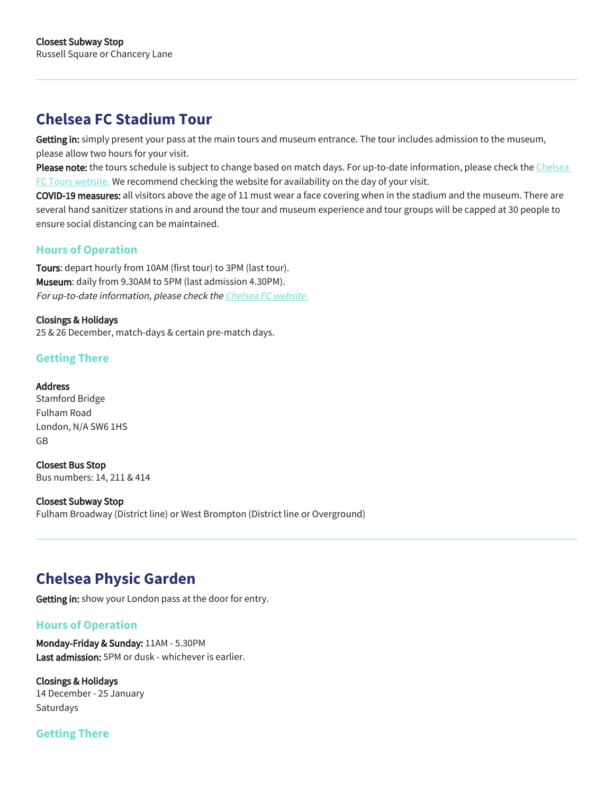# **Chelsea FC Stadium Tour**

Getting in: simply present your pass at the main tours and museum entrance. The tour includes admission to the museum, please allow two hours for your visit.

Please note: the tours schedule is subject to change based on match days. For up-to-date information, please check the Chelsea [FC Tours website.](https://www.chelseafc.com/en/stamford-bridge/stadium-tours-and-museum/opening-times) We recommend checking the website for availability on the day of your visit.

COVID-19 measures: all visitors above the age of 11 must wear a face covering when in the stadium and the museum. There are several hand sanitizer stations in and around the tour and museum experience and tour groups will be capped at 30 people to ensure social distancing can be maintained.

## **Hours of Operation**

Tours: depart hourly from 10AM (first tour) to 3PM (last tour). Museum: daily from 9.30AM to 5PM (last admission 4.30PM). For up-to-date information, please check the Chelsea FC website.

### Closings & Holidays

25 & 26 December, match-days & certain pre-match days.

## **Getting There**

#### Address

Stamford Bridge Fulham Road London, N/A SW6 1HS GB

Closest Bus Stop Bus numbers: 14, 211 & 414

#### Closest Subway Stop

Fulham Broadway (District line) or West Brompton (District line or Overground)

# **Chelsea Physic Garden**

Getting in: show your London pass at the door for entry.

## **Hours of Operation**

Monday-Friday & Sunday: 11AM - 5.30PM Last admission: 5PM or dusk - whichever is earlier.

Closings & Holidays 14 December - 25 January Saturdays

## **Getting There**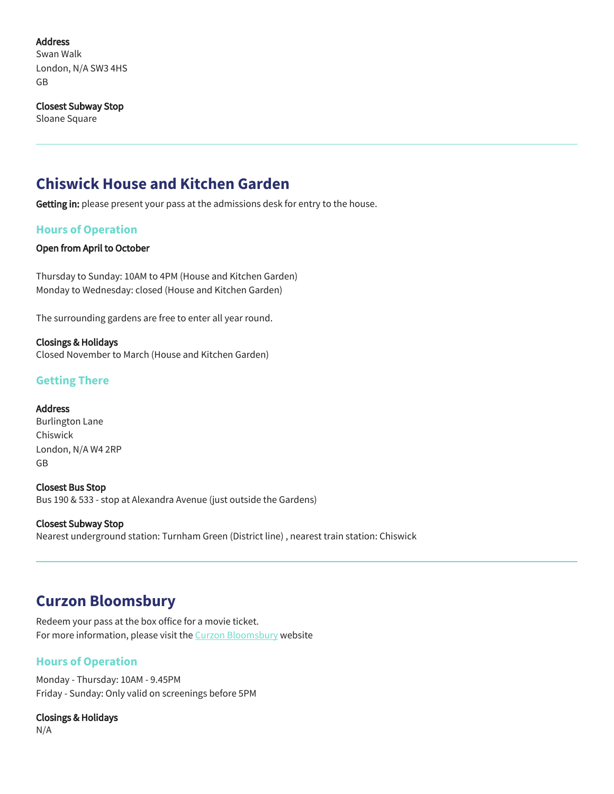### Address

Swan Walk London, N/A SW3 4HS GB

#### Closest Subway Stop

Sloane Square

# **Chiswick House and Kitchen Garden**

Getting in: please present your pass at the admissions desk for entry to the house.

## **Hours of Operation**

#### Open from April to October

Thursday to Sunday: 10AM to 4PM (House and Kitchen Garden) Monday to Wednesday: closed (House and Kitchen Garden)

The surrounding gardens are free to enter all year round.

Closings & Holidays Closed November to March (House and Kitchen Garden)

## **Getting There**

#### Address

Burlington Lane Chiswick London, N/A W4 2RP GB

Closest Bus Stop Bus 190 & 533 - stop at Alexandra Avenue (just outside the Gardens)

Closest Subway Stop Nearest underground station: Turnham Green (District line) , nearest train station: Chiswick

## **Curzon Bloomsbury**

Redeem your pass at the box office for a movie ticket. For more information, please visit the [Curzon Bloomsbury](https://www.curzoncinemas.com/bloomsbury/nt) website

## **Hours of Operation**

Monday - Thursday: 10AM - 9.45PM Friday - Sunday: Only valid on screenings before 5PM

Closings & Holidays N/A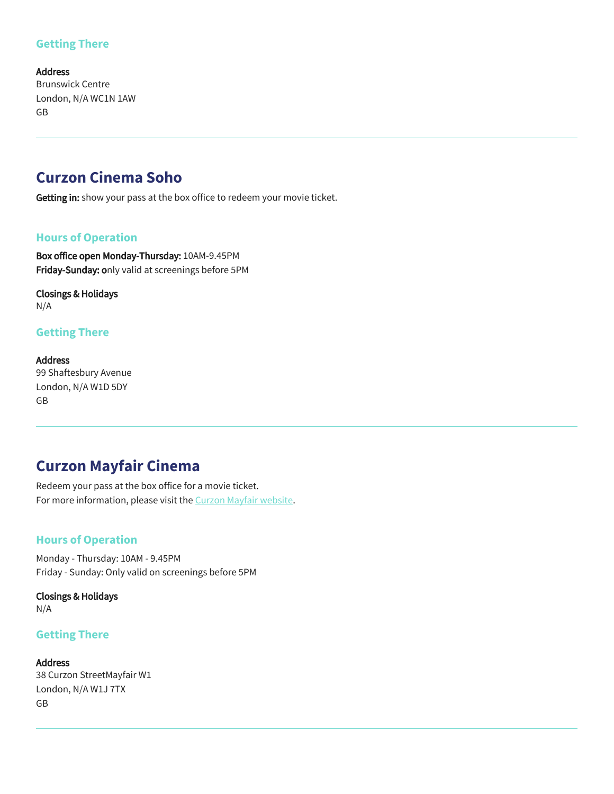## **Getting There**

Address Brunswick Centre London, N/A WC1N 1AW GB

## **Curzon Cinema Soho**

Getting in: show your pass at the box office to redeem your movie ticket.

## **Hours of Operation**

Box office open Monday-Thursday: 10AM-9.45PM Friday-Sunday: only valid at screenings before 5PM

Closings & Holidays N/A

## **Getting There**

Address 99 Shaftesbury Avenue London, N/A W1D 5DY GB

# **Curzon Mayfair Cinema**

Redeem your pass at the box office for a movie ticket. For more information, please visit the [Curzon Mayfair website](https://www.curzoncinemas.com/mayfair/info).

## **Hours of Operation**

Monday - Thursday: 10AM - 9.45PM Friday - Sunday: Only valid on screenings before 5PM

Closings & Holidays N/A

## **Getting There**

Address 38 Curzon StreetMayfair W1 London, N/A W1J 7TX GB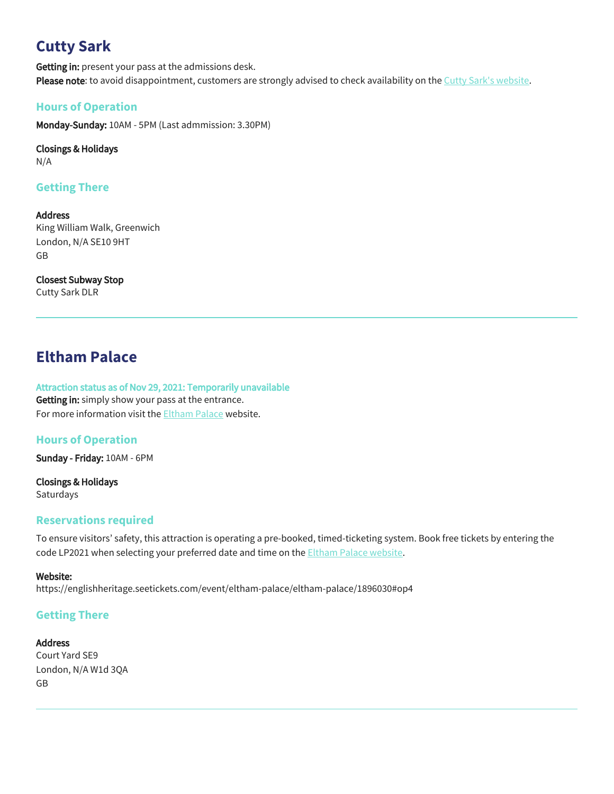# **Cutty Sark**

Getting in: present your pass at the admissions desk. Please note: to avoid disappointment, customers are strongly advised to check availability on the [Cutty Sark's website.](https://tickets.rmg.co.uk/webstore/shop/viewItems.aspx?cg=RMG&c=CST&_ga=2.101074113.194024544.1622537812-1264773050.1622537812)

## **Hours of Operation**

Monday-Sunday: 10AM - 5PM (Last admmission: 3.30PM)

Closings & Holidays N/A

## **Getting There**

Address King William Walk, Greenwich London, N/A SE10 9HT GB

Closest Subway Stop Cutty Sark DLR

# **Eltham Palace**

Attraction status as of Nov 29, 2021: Temporarily unavailable Getting in: simply show your pass at the entrance. For more information visit the **Eltham Palace** website.

## **Hours of Operation**

Sunday - Friday: 10AM - 6PM

Closings & Holidays Saturdays

## **Reservations required**

To ensure visitors' safety, this attraction is operating a pre-booked, timed-ticketing system. Book free tickets by entering the code LP2021 when selecting your preferred date and time on the [Eltham Palace website.](https://englishheritage.seetickets.com/event/eltham-palace/eltham-palace/1896030#op4)

#### Website:

https://englishheritage.seetickets.com/event/eltham-palace/eltham-palace/1896030#op4

## **Getting There**

## **Address**

Court Yard SE9 London, N/A W1d 3QA GB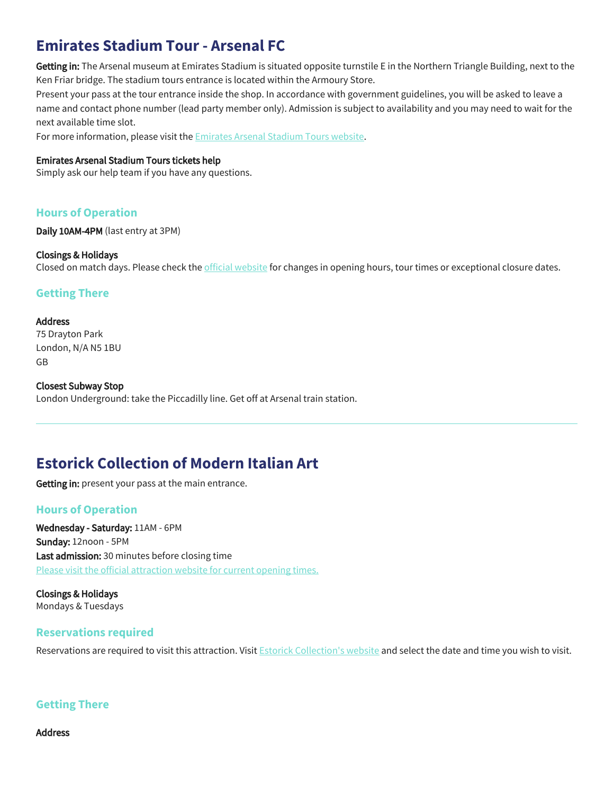# **Emirates Stadium Tour - Arsenal FC**

Getting in: The Arsenal museum at Emirates Stadium is situated opposite turnstile E in the Northern Triangle Building, next to the Ken Friar bridge. The stadium tours entrance is located within the Armoury Store.

Present your pass at the tour entrance inside the shop. In accordance with government guidelines, you will be asked to leave a name and contact phone number (lead party member only). Admission is subject to availability and you may need to wait for the next available time slot.

For more information, please visit the **[Emirates Arsenal Stadium Tours website](https://arsenaldirect.arsenal.com/Arsenal-Tours-Category/stadium-tour/tour/p/STADIUM)**.

#### Emirates Arsenal Stadium Tours tickets help

Simply ask our help team if you have any questions.

## **Hours of Operation**

Daily 10AM-4PM (last entry at 3PM)

#### Closings & Holidays

Closed on match days. Please check the [official website](https://arsenaldirect.arsenal.com/Arsenal-Tours-Category/stadium-tour/tour/p/STADIUM) for changes in opening hours, tour times or exceptional closure dates.

## **Getting There**

#### Address

75 Drayton Park London, N/A N5 1BU GB

Closest Subway Stop London Underground: take the Piccadilly line. Get off at Arsenal train station.

# **Estorick Collection of Modern Italian Art**

Getting in: present your pass at the main entrance.

## **Hours of Operation**

Wednesday - Saturday: 11AM - 6PM Sunday: 12noon - 5PM Last admission: 30 minutes before closing time [Please visit the official attraction website for current opening times.](https://www.estorickcollection.com/)

Closings & Holidays Mondays & Tuesdays

## **Reservations required**

Reservations are required to visit this attraction. Visit **[Estorick Collection's website](https://estorick-collection.arttickets.org.uk/)** and select the date and time you wish to visit.

## **Getting There**

Address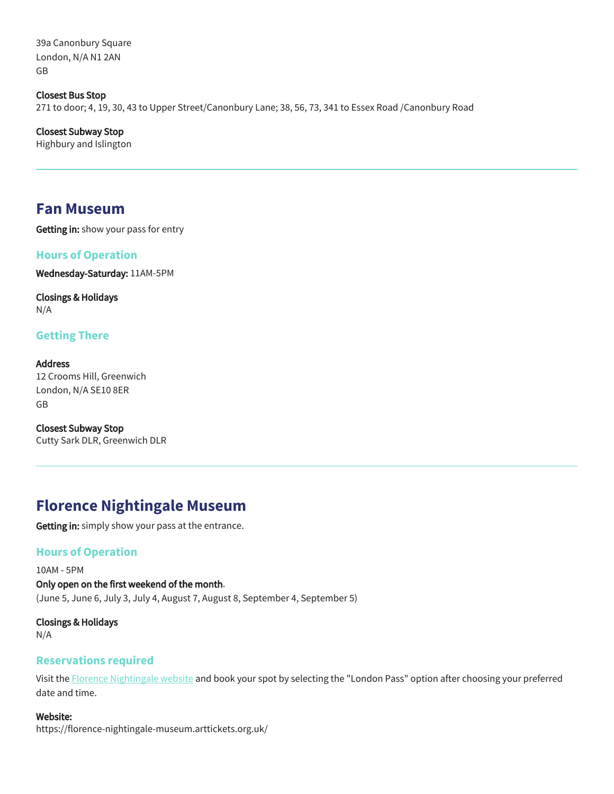39a Canonbury Square London, N/A N1 2AN GB

Closest Bus Stop 271 to door; 4, 19, 30, 43 to Upper Street/Canonbury Lane; 38, 56, 73, 341 to Essex Road /Canonbury Road

Closest Subway Stop Highbury and Islington

## **Fan Museum**

Getting in: show your pass for entry

## **Hours of Operation**

Wednesday-Saturday: 11AM-5PM

Closings & Holidays N/A

## **Getting There**

Address 12 Crooms Hill, Greenwich London, N/A SE10 8ER GB

Closest Subway Stop Cutty Sark DLR, Greenwich DLR

# **Florence Nightingale Museum**

Getting in: simply show your pass at the entrance.

## **Hours of Operation**

10AM - 5PM Only open on the first weekend of the month. (June 5, June 6, July 3, July 4, August 7, August 8, September 4, September 5)

Closings & Holidays N/A

## **Reservations required**

Visit the [Florence Nightingale website](https://florence-nightingale-museum.arttickets.org.uk/) and book your spot by selecting the "London Pass" option after choosing your preferred date and time.

#### Website:

https://florence-nightingale-museum.arttickets.org.uk/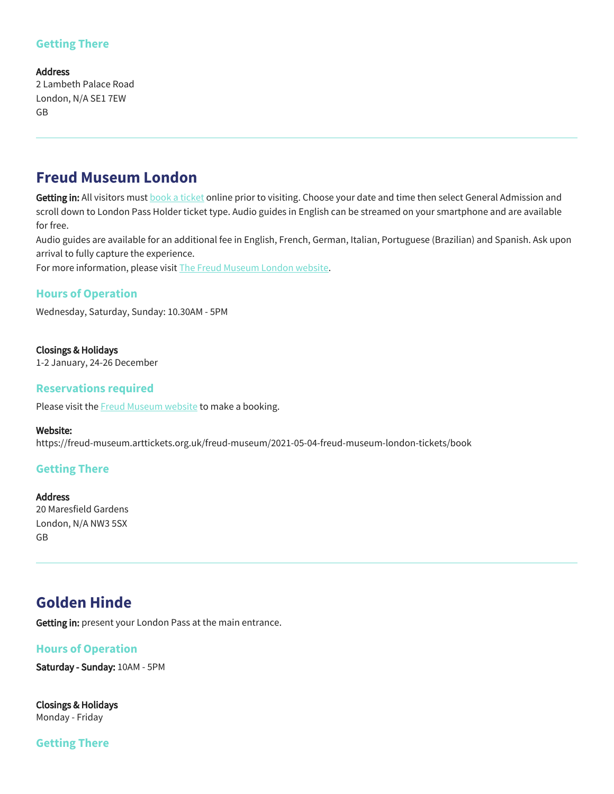## **Getting There**

#### Address

2 Lambeth Palace Road London, N/A SE1 7EW GB

## **Freud Museum London**

Getting in: All visitors must **[book a ticket](https://freud-museum.arttickets.org.uk/freud-museum/2021-05-04-freud-museum-london-tickets/book) online prior to visiting**. Choose your date and time then select General Admission and scroll down to London Pass Holder ticket type. Audio guides in English can be streamed on your smartphone and are available for free.

Audio guides are available for an additional fee in English, French, German, Italian, Portuguese (Brazilian) and Spanish. Ask upon arrival to fully capture the experience.

For more information, please visit [The Freud Museum London website.](https://www.freud.org.uk/?gclid=EAIaIQobChMIpPij4cry6QIV8IBQBh0_GAo7EAAYASAAEgLda_D_BwE)

## **Hours of Operation**

Wednesday, Saturday, Sunday: 10.30AM - 5PM

Closings & Holidays 1-2 January, 24-26 December

## **Reservations required**

Please visit the **Freud Museum website** to make a booking.

#### Website:

https://freud-museum.arttickets.org.uk/freud-museum/2021-05-04-freud-museum-london-tickets/book

## **Getting There**

Address 20 Maresfield Gardens London, N/A NW3 5SX GB

# **Golden Hinde**

Getting in: present your London Pass at the main entrance.

## **Hours of Operation**

Saturday - Sunday: 10AM - 5PM

Closings & Holidays Monday - Friday

## **Getting There**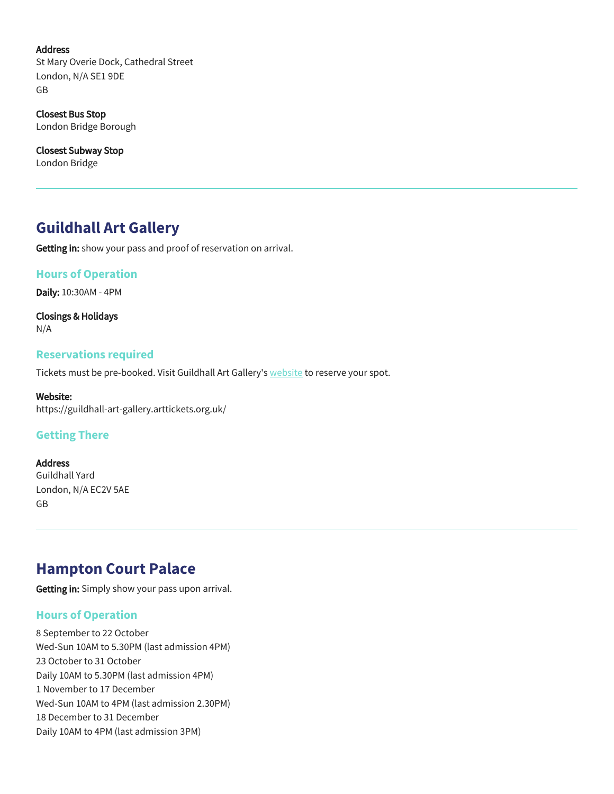#### Address

St Mary Overie Dock, Cathedral Street London, N/A SE1 9DE GB

Closest Bus Stop London Bridge Borough

Closest Subway Stop London Bridge

## **Guildhall Art Gallery**

Getting in: show your pass and proof of reservation on arrival.

### **Hours of Operation**

Daily: 10:30AM - 4PM

Closings & Holidays N/A

### **Reservations required**

Tickets must be pre-booked. Visit Guildhall Art Gallery's [website](https://guildhall-art-gallery.arttickets.org.uk/) to reserve your spot.

Website: https://guildhall-art-gallery.arttickets.org.uk/

## **Getting There**

Address Guildhall Yard London, N/A EC2V 5AE GB

## **Hampton Court Palace**

Getting in: Simply show your pass upon arrival.

## **Hours of Operation**

8 September to 22 October Wed-Sun 10AM to 5.30PM (last admission 4PM) 23 October to 31 October Daily 10AM to 5.30PM (last admission 4PM) 1 November to 17 December Wed-Sun 10AM to 4PM (last admission 2.30PM) 18 December to 31 December Daily 10AM to 4PM (last admission 3PM)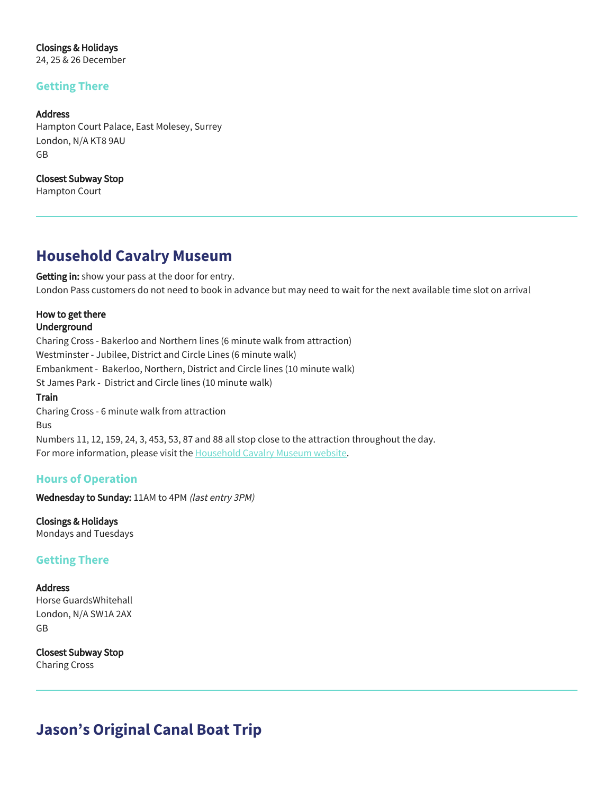Closings & Holidays

24, 25 & 26 December

## **Getting There**

#### Address

Hampton Court Palace, East Molesey, Surrey London, N/A KT8 9AU GB

Closest Subway Stop Hampton Court

## **Household Cavalry Museum**

Getting in: show your pass at the door for entry. London Pass customers do not need to book in advance but may need to wait for the next available time slot on arrival

### How to get there Underground

Charing Cross - Bakerloo and Northern lines (6 minute walk from attraction) Westminster - Jubilee, District and Circle Lines (6 minute walk) Embankment - Bakerloo, Northern, District and Circle lines (10 minute walk) St James Park - District and Circle lines (10 minute walk) Train Charing Cross - 6 minute walk from attraction Bus Numbers 11, 12, 159, 24, 3, 453, 53, 87 and 88 all stop close to the attraction throughout the day. For more information, please visit the **Household Cavalry Museum website**.

## **Hours of Operation**

Wednesday to Sunday: 11AM to 4PM (last entry 3PM)

Closings & Holidays Mondays and Tuesdays

## **Getting There**

# Address

Horse GuardsWhitehall London, N/A SW1A 2AX GB

Closest Subway Stop Charing Cross

# **Jason's Original Canal Boat Trip**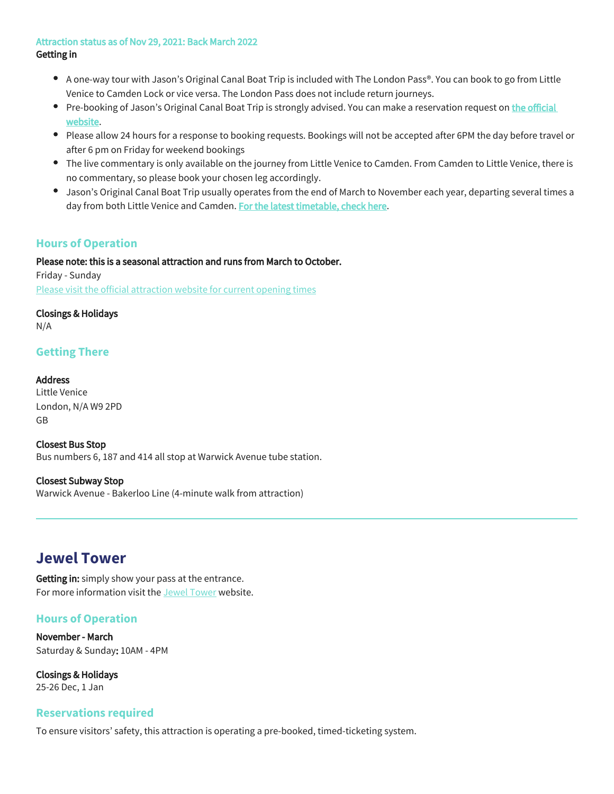#### Attraction status as of Nov 29, 2021: Back March 2022 Getting in

- A one-way tour with Jason's Original Canal Boat Trip is included with The London Pass®. You can book to go from Little Venice to Camden Lock or vice versa. The London Pass does not include return journeys.
- Pre-booking of Jason's Original Canal Boat Trip is strongly advised. You can make a reservation request on the official [website.](https://www.jasons.co.uk/)
- Please allow 24 hours for a response to booking requests. Bookings will not be accepted after 6PM the day before travel or after 6 pm on Friday for weekend bookings
- The live commentary is only available on the journey from Little Venice to Camden. From Camden to Little Venice, there is no commentary, so please book your chosen leg accordingly.
- Jason's Original Canal Boat Trip usually operates from the end of March to November each year, departing several times a day from both Little Venice and Camden. [For the latest timetable, check here.](https://www.jasons.co.uk/)

## **Hours of Operation**

Please note: this is a seasonal attraction and runs from March to October.

Friday - Sunday [Please visit the official attraction website for current opening times](https://www.jasons.co.uk/)

## Closings & Holidays

N/A

## **Getting There**

## Address

Little Venice London, N/A W9 2PD GB

Closest Bus Stop Bus numbers 6, 187 and 414 all stop at Warwick Avenue tube station.

## Closest Subway Stop

Warwick Avenue - Bakerloo Line (4-minute walk from attraction)

## **Jewel Tower**

Getting in: simply show your pass at the entrance. For more information visit the [Jewel Tower](https://www.english-heritage.org.uk/visit/places/jewel-tower/?utm_source=Google%20Business&utm_campaign=Local%20Listings&utm_medium=Google%20Business%20Profiles&utm_content=jewel%20tower&utm_source=Google%20Business&utm_campaign=Local%20Listings&utm_medium=Google%20Business%20Profiles&utm_content=jewel%20tower) website.

## **Hours of Operation**

November - March Saturday & Sunday: 10AM - 4PM

Closings & Holidays 25-26 Dec, 1 Jan

## **Reservations required**

To ensure visitors' safety, this attraction is operating a pre-booked, timed-ticketing system.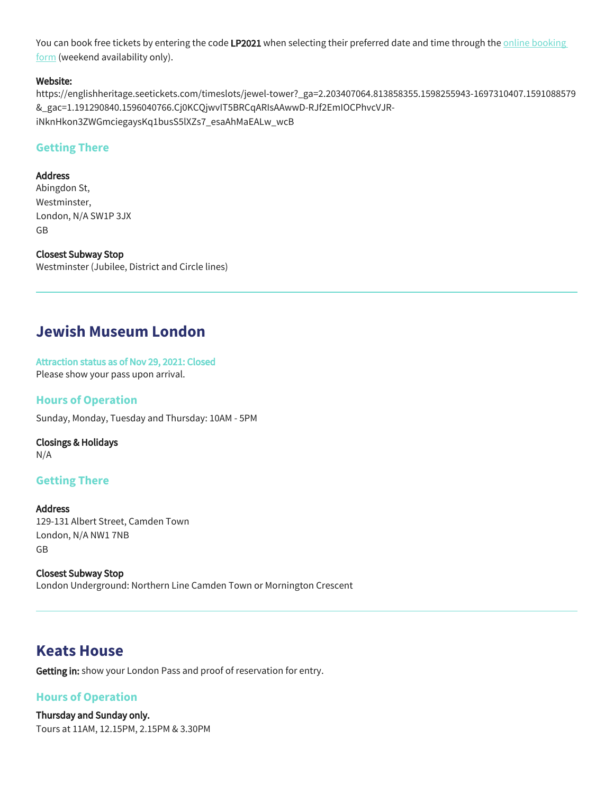You can book free tickets by entering the code LP2021 when selecting their preferred date and time through the *online booking* [form](https://englishheritage.seetickets.com/timeslots/jewel-tower?_ga=2.203407064.813858355.1598255943-1697310407.1591088579&_gac=1.191290840.1596040766.Cj0KCQjwvIT5BRCqARIsAAwwD-RJf2EmIOCPhvcVJR-iNknHkon3ZWGmciegaysKq1busS5lXZs7_esaAhMaEALw_wcB) (weekend availability only).

#### Website:

https://englishheritage.seetickets.com/timeslots/jewel-tower?\_ga=2.203407064.813858355.1598255943-1697310407.1591088579 &\_gac=1.191290840.1596040766.Cj0KCQjwvIT5BRCqARIsAAwwD-RJf2EmIOCPhvcVJRiNknHkon3ZWGmciegaysKq1busS5lXZs7\_esaAhMaEALw\_wcB

## **Getting There**

#### Address

Abingdon St, Westminster, London, N/A SW1P 3JX GB

Closest Subway Stop Westminster (Jubilee, District and Circle lines)

# **Jewish Museum London**

Attraction status as of Nov 29, 2021: Closed Please show your pass upon arrival.

### **Hours of Operation**

Sunday, Monday, Tuesday and Thursday: 10AM - 5PM

Closings & Holidays N/A

## **Getting There**

Address 129-131 Albert Street, Camden Town London, N/A NW1 7NB GB

Closest Subway Stop London Underground: Northern Line Camden Town or Mornington Crescent

## **Keats House**

Getting in: show your London Pass and proof of reservation for entry.

## **Hours of Operation**

Thursday and Sunday only. Tours at 11AM, 12.15PM, 2.15PM & 3.30PM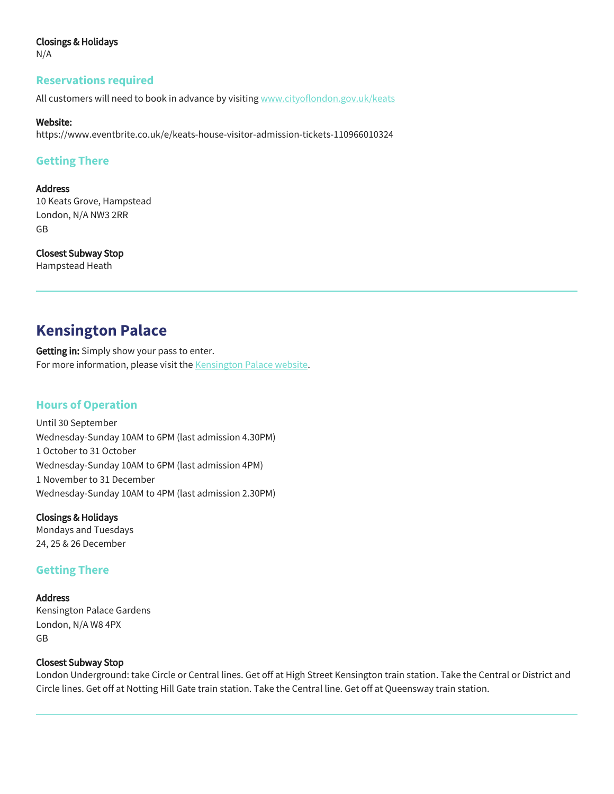#### Closings & Holidays

N/A

#### **Reservations required**

All customers will need to book in advance by visiting<www.cityoflondon.gov.uk/keats>

#### Website:

https://www.eventbrite.co.uk/e/keats-house-visitor-admission-tickets-110966010324

### **Getting There**

#### Address

10 Keats Grove, Hampstead London, N/A NW3 2RR GB

Closest Subway Stop Hampstead Heath

## **Kensington Palace**

Getting in: Simply show your pass to enter. For more information, please visit the [K](https://www.londoneye.com/)[ensington Palace website](https://www.hrp.org.uk/kensington-palace/#gs.6dllxu).

## **Hours of Operation**

Until 30 September Wednesday-Sunday 10AM to 6PM (last admission 4.30PM) 1 October to 31 October Wednesday-Sunday 10AM to 6PM (last admission 4PM) 1 November to 31 December Wednesday-Sunday 10AM to 4PM (last admission 2.30PM)

#### Closings & Holidays

Mondays and Tuesdays 24, 25 & 26 December

## **Getting There**

Address Kensington Palace Gardens London, N/A W8 4PX GB

#### Closest Subway Stop

London Underground: take Circle or Central lines. Get off at High Street Kensington train station. Take the Central or District and Circle lines. Get off at Notting Hill Gate train station. Take the Central line. Get off at Queensway train station.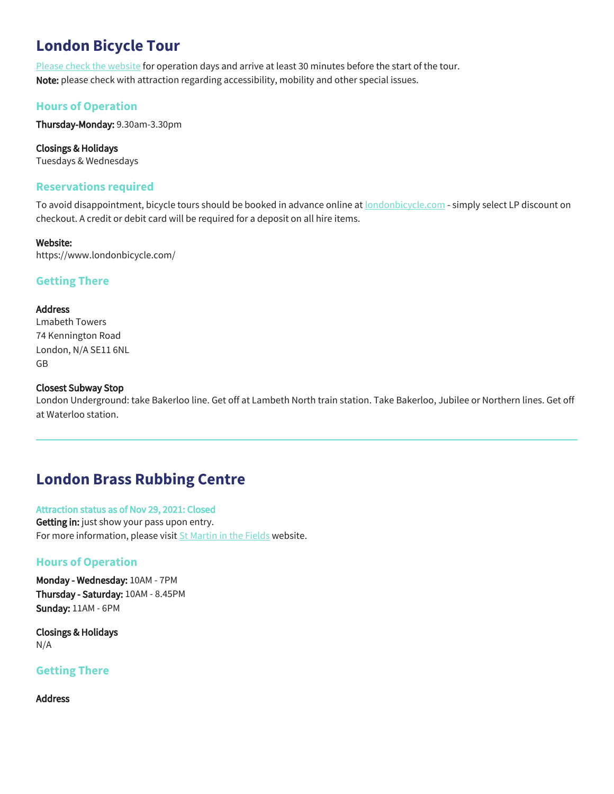# **London Bicycle Tour**

[Please check the website](http://londonbicycle.com/tours/half-day/lovelondon) for operation days and arrive at least 30 minutes before the start of the tour. Note: please check with attraction regarding accessibility, mobility and other special issues.

## **Hours of Operation**

Thursday-Monday: 9.30am-3.30pm

Closings & Holidays Tuesdays & Wednesdays

## **Reservations required**

To avoid disappointment, bicycle tours should be booked in advance online at **[londonbicycle.com](http://www.londonbicycle.com/)** - simply select LP discount on checkout. A credit or debit card will be required for a deposit on all hire items.

### Website:

https://www.londonbicycle.com/

## **Getting There**

#### Address

Lmabeth Towers 74 Kennington Road London, N/A SE11 6NL GB

### Closest Subway Stop

London Underground: take Bakerloo line. Get off at Lambeth North train station. Take Bakerloo, Jubilee or Northern lines. Get off at Waterloo station.

# **London Brass Rubbing Centre**

#### Attraction status as of Nov 29, 2021: Closed

Getting in: just show your pass upon entry. For more information, please visit [St Martin in the Fields](https://www.stmartin-in-the-fields.org/visit/things-to-see-and-do/) website.

## **Hours of Operation**

Monday - Wednesday: 10AM - 7PM Thursday - Saturday: 10AM - 8.45PM Sunday: 11AM - 6PM

Closings & Holidays N/A

## **Getting There**

Address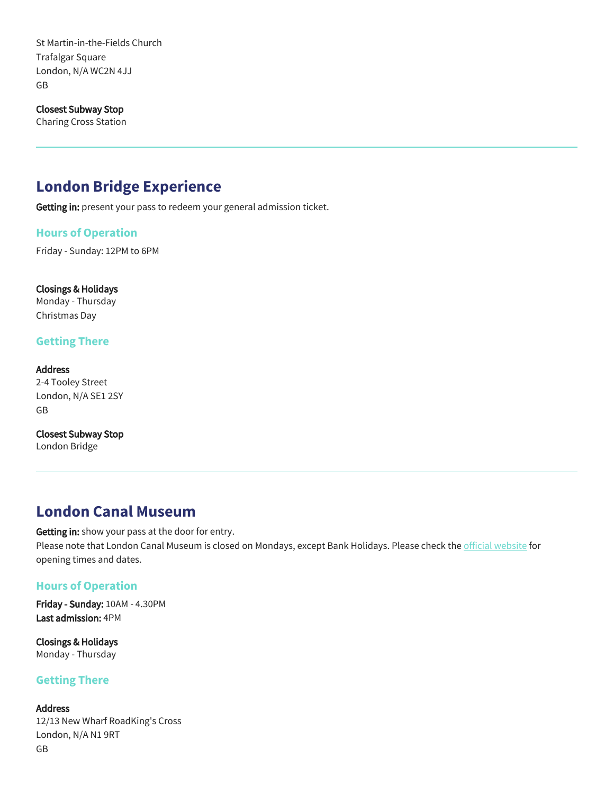St Martin-in-the-Fields Church Trafalgar Square London, N/A WC2N 4JJ GB

Closest Subway Stop

Charing Cross Station

# **London Bridge Experience**

Getting in: present your pass to redeem your general admission ticket.

#### **Hours of Operation**

Friday - Sunday: 12PM to 6PM

#### Closings & Holidays

Monday - Thursday Christmas Day

### **Getting There**

Address 2-4 Tooley Street London, N/A SE1 2SY GB

Closest Subway Stop London Bridge

## **London Canal Museum**

Getting in: show your pass at the door for entry. Please note that London Canal Museum is closed on Mondays, except Bank Holidays. Please check the [official website](https://www.canalmuseum.org.uk/visit/admission.htm) for opening times and dates.

## **Hours of Operation**

Friday - Sunday: 10AM - 4.30PM Last admission: 4PM

Closings & Holidays Monday - Thursday

## **Getting There**

Address 12/13 New Wharf RoadKing's Cross London, N/A N1 9RT GB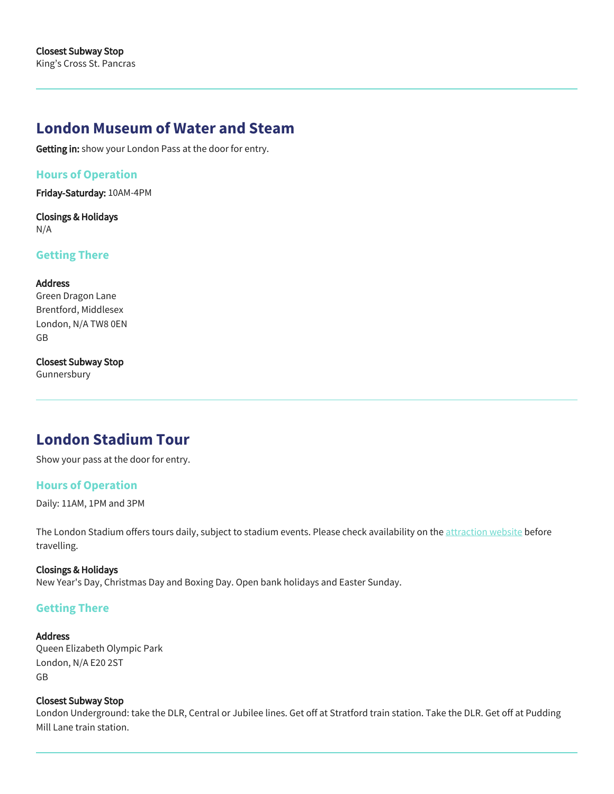## **London Museum of Water and Steam**

Getting in: show your London Pass at the door for entry.

## **Hours of Operation**

Friday-Saturday: 10AM-4PM

Closings & Holidays N/A

## **Getting There**

#### **Address**

Green Dragon Lane Brentford, Middlesex London, N/A TW8 0EN GB

#### Closest Subway Stop

Gunnersbury

# **London Stadium Tour**

Show your pass at the door for entry.

## **Hours of Operation**

Daily: 11AM, 1PM and 3PM

The London Stadium offers tours daily, subject to stadium events. Please check availability on the [attraction website](https://stadiumtourbookings.london-stadium.com/booking/closures.htm) before travelling.

#### Closings & Holidays

New Year's Day, Christmas Day and Boxing Day. Open bank holidays and Easter Sunday.

#### **Getting There**

#### **Address**

Queen Elizabeth Olympic Park London, N/A E20 2ST GB

#### Closest Subway Stop

London Underground: take the DLR, Central or Jubilee lines. Get off at Stratford train station. Take the DLR. Get off at Pudding Mill Lane train station.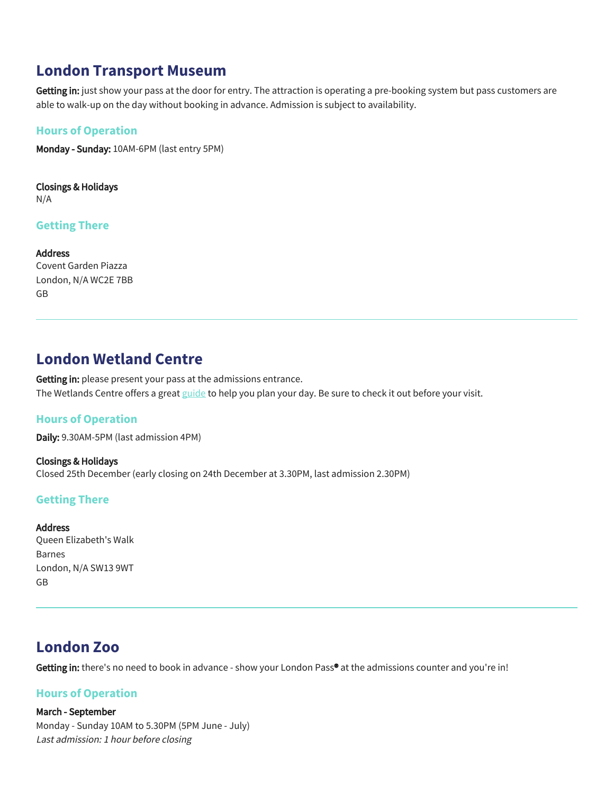## **London Transport Museum**

Getting in: just show your pass at the door for entry. The attraction is operating a pre-booking system but pass customers are able to walk-up on the day without booking in advance. Admission is subject to availability.

## **Hours of Operation**

Monday - Sunday: 10AM-6PM (last entry 5PM)

Closings & Holidays N/A

### **Getting There**

Address Covent Garden Piazza London, N/A WC2E 7BB GB

## **London Wetland Centre**

Getting in: please present your pass at the admissions entrance. The Wetlands Centre offers a great [guide](https://www.wwt.org.uk/wetland-centres/london/plan-your-visit/plan-your-day/) to help you plan your day. Be sure to check it out before your visit.

## **Hours of Operation**

Daily: 9.30AM-5PM (last admission 4PM)

Closings & Holidays Closed 25th December (early closing on 24th December at 3.30PM, last admission 2.30PM)

## **Getting There**

#### Address

Queen Elizabeth's Walk Barnes London, N/A SW13 9WT GB

# **London Zoo**

Getting in: there's no need to book in advance - show your London Pass<sup>®</sup> at the admissions counter and you're in!

## **Hours of Operation**

#### March - September

Monday - Sunday 10AM to 5.30PM (5PM June - July) Last admission: 1 hour before closing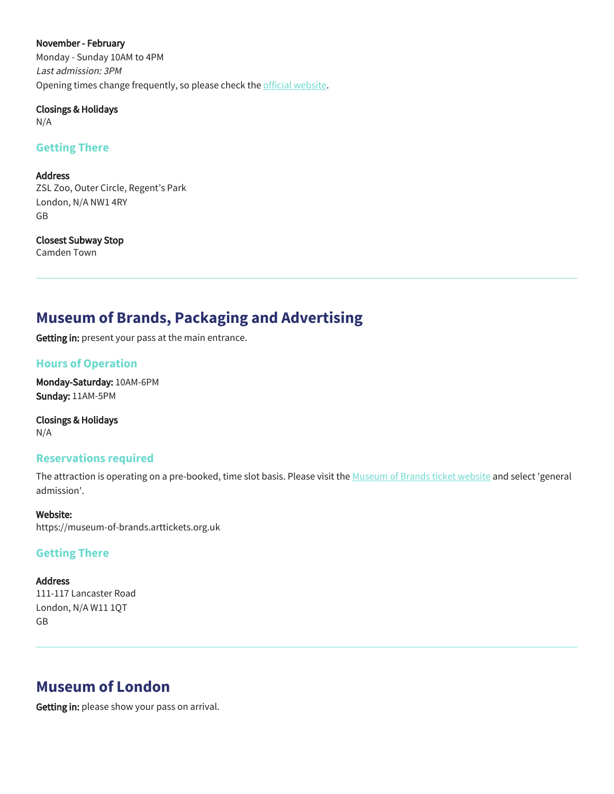#### November - February

Monday - Sunday 10AM to 4PM Last admission: 3PM Opening times change frequently, so please check the [official website.](https://www.zsl.org/zsl-london-zoo/visitor-information/opening-times)

#### Closings & Holidays

N/A

## **Getting There**

#### Address

ZSL Zoo, Outer Circle, Regent's Park London, N/A NW1 4RY GB

## Closest Subway Stop

Camden Town

# **Museum of Brands, Packaging and Advertising**

Getting in: present your pass at the main entrance.

## **Hours of Operation**

Monday-Saturday: 10AM-6PM Sunday: 11AM-5PM

Closings & Holidays N/A

## **Reservations required**

The attraction is operating on a pre-booked, time slot basis. Please visit the [Museum of Brands ticket website](https://museum-of-brands.arttickets.org.uk) and select 'general admission'.

#### Website: https://museum-of-brands.arttickets.org.uk

## **Getting There**

## Address 111-117 Lancaster Road London, N/A W11 1QT GB

# **Museum of London**

Getting in: please show your pass on arrival.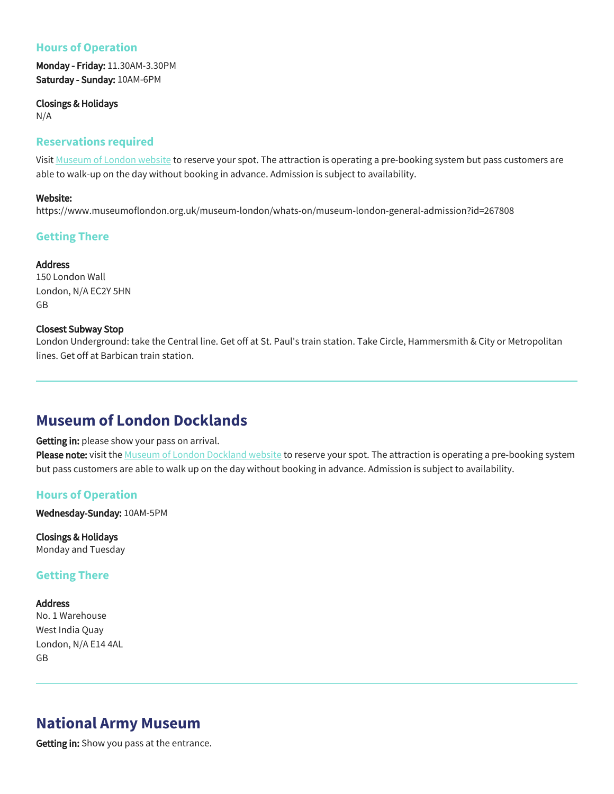## **Hours of Operation**

Monday - Friday: 11.30AM-3.30PM Saturday - Sunday: 10AM-6PM

Closings & Holidays

N/A

#### **Reservations required**

Visit [Museum of London website](https://www.museumoflondon.org.uk/museum-london/whats-on/museum-london-general-admission?id=267808) to reserve your spot. The attraction is operating a pre-booking system but pass customers are able to walk-up on the day without booking in advance. Admission is subject to availability.

#### Website:

https://www.museumoflondon.org.uk/museum-london/whats-on/museum-london-general-admission?id=267808

## **Getting There**

## Address

150 London Wall London, N/A EC2Y 5HN GB

#### Closest Subway Stop

London Underground: take the Central line. Get off at St. Paul's train station. Take Circle, Hammersmith & City or Metropolitan lines. Get off at Barbican train station.

## **Museum of London Docklands**

#### Getting in: please show your pass on arrival.

Please note: visit the [Museum of London Dockland website](https://www.museumoflondon.org.uk/museum-london-docklands/whats-on/museum-london-docklands-general-admission?id=268008) to reserve your spot. The attraction is operating a pre-booking system but pass customers are able to walk up on the day without booking in advance. Admission is subject to availability.

## **Hours of Operation**

Wednesday-Sunday: 10AM-5PM

Closings & Holidays Monday and Tuesday

## **Getting There**

#### Address

No. 1 Warehouse West India Quay London, N/A E14 4AL GB

# **National Army Museum**

Getting in: Show you pass at the entrance.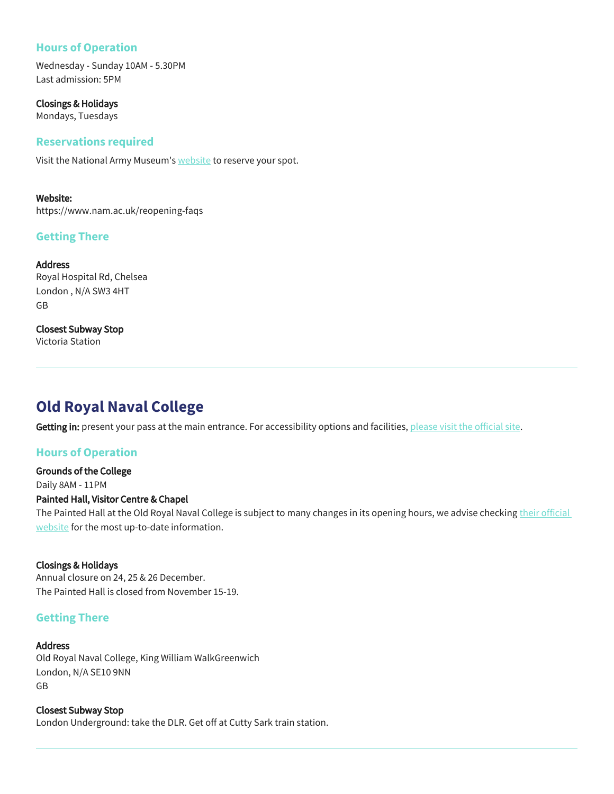## **Hours of Operation**

Wednesday - Sunday 10AM - 5.30PM Last admission: 5PM

Closings & Holidays Mondays, Tuesdays

### **Reservations required**

Visit the National Army Museum's [website](https://www.nam.ac.uk/reopening-faqs) to reserve your spot.

Website: https://www.nam.ac.uk/reopening-faqs

## **Getting There**

Address Royal Hospital Rd, Chelsea London , N/A SW3 4HT GB

Closest Subway Stop Victoria Station

# **Old Royal Naval College**

Getting in: present your pass at the main entrance. For accessibility options and facilities, [please visit the official site.](https://www.ornc.org/Pages/FAQs/Category/accessibility)

## **Hours of Operation**

Grounds of the College Daily 8AM - 11PM Painted Hall, Visitor Centre & Chapel The Painted Hall at the Old Royal Naval College is subject to many changes in its opening hours, we advise checking their official

#### Closings & Holidays

Annual closure on 24, 25 & 26 December. The Painted Hall is closed from November 15-19.

[website](https://ornc.org/plan-a-visit/) for the most up-to-date information.

## **Getting There**

#### Address

Old Royal Naval College, King William WalkGreenwich London, N/A SE10 9NN GB

Closest Subway Stop London Underground: take the DLR. Get off at Cutty Sark train station.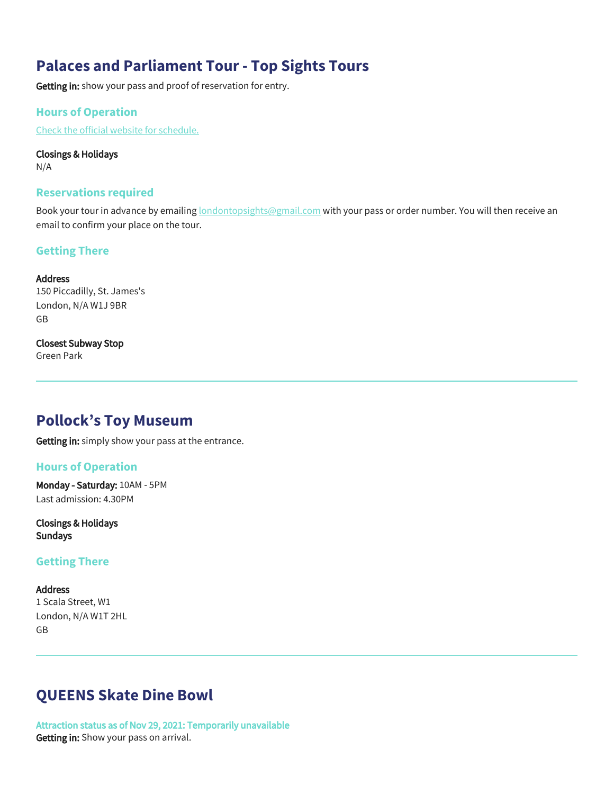# **Palaces and Parliament Tour - Top Sights Tours**

Getting in: show your pass and proof of reservation for entry.

## **Hours of Operation**

[Check the official website for schedule.](https://www.londontopsightstours.com/tour/see-15-top-sights-tour-palaces-parliament/)

#### Closings & Holidays

N/A

#### **Reservations required**

Book your tour in advance by emailing **londontopsights@gmail.com** with your pass or order number. You will then receive an email to confirm your place on the tour.

## **Getting There**

#### **Address**

150 Piccadilly, St. James's London, N/A W1J 9BR GB

## Closest Subway Stop

Green Park

## **Pollock's Toy Museum**

Getting in: simply show your pass at the entrance.

## **Hours of Operation**

Monday - Saturday: 10AM - 5PM Last admission: 4.30PM

Closings & Holidays Sundays

## **Getting There**

Address 1 Scala Street, W1 London, N/A W1T 2HL GB

## **QUEENS Skate Dine Bowl**

Attraction status as of Nov 29, 2021: Temporarily unavailable Getting in: Show your pass on arrival.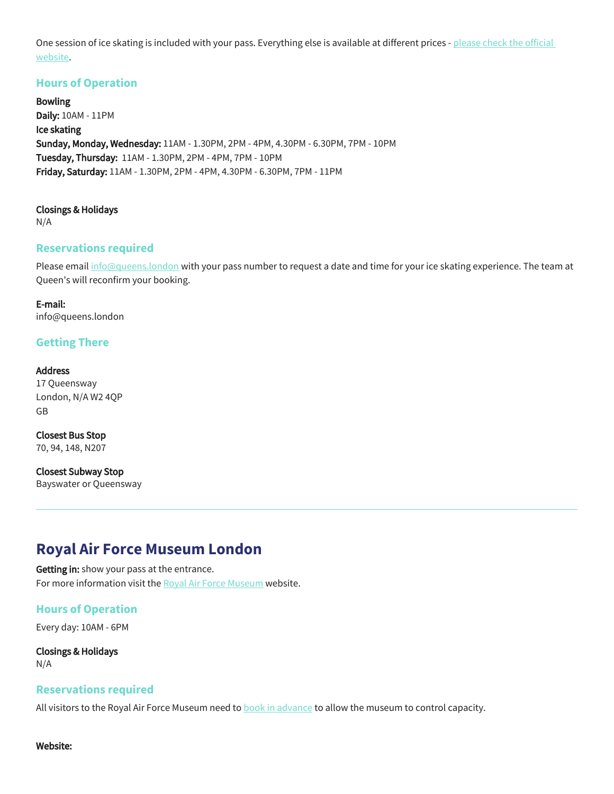One session of ice skating is included with your pass. Everything else is available at different prices - please check the official [website.](https://queens.london/)

## **Hours of Operation**

Bowling Daily: 10AM - 11PM Ice skating Sunday, Monday, Wednesday: 11AM - 1.30PM, 2PM - 4PM, 4.30PM - 6.30PM, 7PM - 10PM Tuesday, Thursday: 11AM - 1.30PM, 2PM - 4PM, 7PM - 10PM Friday, Saturday: 11AM - 1.30PM, 2PM - 4PM, 4.30PM - 6.30PM, 7PM - 11PM

Closings & Holidays N/A

## **Reservations required**

Please email [info@queens.london](mailto:info@queens.london) with your pass number to request a date and time for your ice skating experience. The team at Queen's will reconfirm your booking.

E-mail: info@queens.london

## **Getting There**

#### Address

17 Queensway London, N/A W2 4QP GB

Closest Bus Stop 70, 94, 148, N207

Closest Subway Stop Bayswater or Queensway

## **Royal Air Force Museum London**

Getting in: show your pass at the entrance. For more information visit the [Royal Air Force Museum](https://www.rafmuseum.org.uk/london/) website.

## **Hours of Operation**

Every day: 10AM - 6PM

Closings & Holidays N/A

#### **Reservations required**

All visitors to the Royal Air Force Museum need to **book in advance** to allow the museum to control capacity.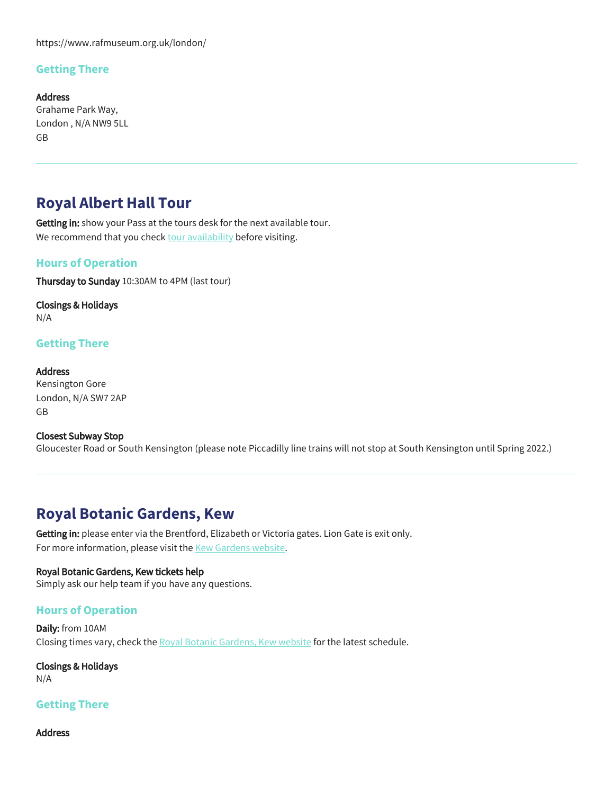https://www.rafmuseum.org.uk/london/

## **Getting There**

Address Grahame Park Way, London , N/A NW9 5LL GB

## **Royal Albert Hall Tour**

Getting in: show your Pass at the tours desk for the next available tour. We recommend that you check [tour availability](https://www.royalalberthall.com/tickets/tours-and-exhibitions/royal-albert-hall-tour/) before visiting.

### **Hours of Operation**

Thursday to Sunday 10:30AM to 4PM (last tour)

Closings & Holidays N/A

### **Getting There**

Address Kensington Gore London, N/A SW7 2AP GB

#### Closest Subway Stop Gloucester Road or South Kensington (please note Piccadilly line trains will not stop at South Kensington until Spring 2022.)

# **Royal Botanic Gardens, Kew**

Getting in: please enter via the Brentford, Elizabeth or Victoria gates. Lion Gate is exit only. For more information, please visit the [Kew Gardens website](https://www.kew.org/kew-gardens).

#### Royal Botanic Gardens, Kew tickets help

Simply ask our help team if you have any questions.

#### **Hours of Operation**

Daily: from 10AM Closing times vary, check the [Royal Botanic Gardens, Kew website](https://www.kew.org/kew-gardens) for the latest schedule.

Closings & Holidays N/A

#### **Getting There**

Address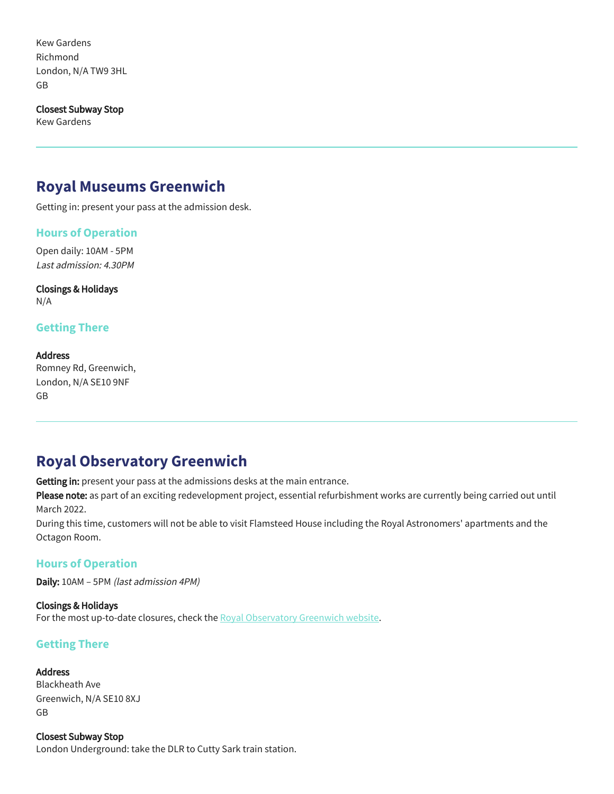Kew Gardens Richmond London, N/A TW9 3HL GB

Closest Subway Stop

Kew Gardens

## **Royal Museums Greenwich**

Getting in: present your pass at the admission desk.

### **Hours of Operation**

Open daily: 10AM - 5PM Last admission: 4.30PM

Closings & Holidays N/A

## **Getting There**

#### Address

Romney Rd, Greenwich, London, N/A SE10 9NF GB

## **Royal Observatory Greenwich**

Getting in: present your pass at the admissions desks at the main entrance.

Please note: as part of an exciting redevelopment project, essential refurbishment works are currently being carried out until March 2022.

During this time, customers will not be able to visit Flamsteed House including the Royal Astronomers' apartments and the Octagon Room.

#### **Hours of Operation**

Daily: 10AM – 5PM (last admission 4PM)

Closings & Holidays For the most up-to-date closures, check the [Royal Observatory Greenwich website.](https://www.rmg.co.uk/)

## **Getting There**

#### Address

Blackheath Ave Greenwich, N/A SE10 8XJ GB

Closest Subway Stop London Underground: take the DLR to Cutty Sark train station.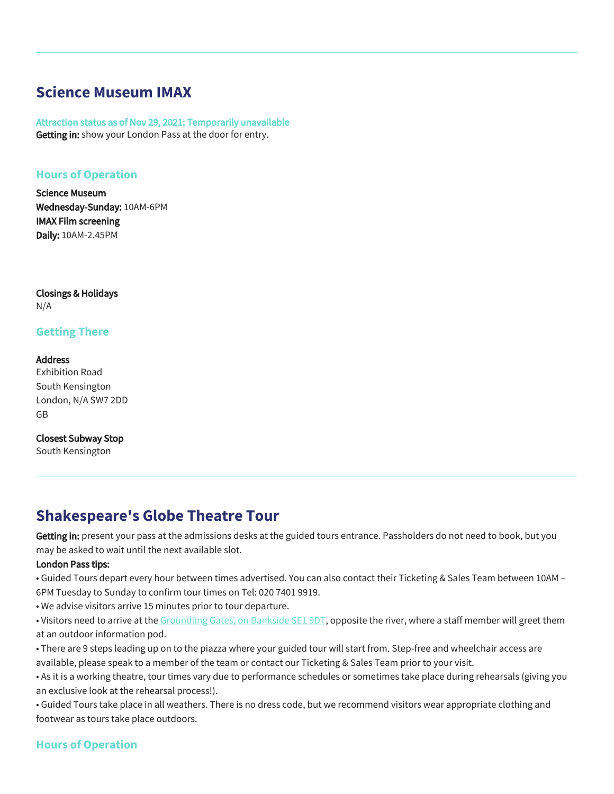# **Science Museum IMAX**

Attraction status as of Nov 29, 2021: Temporarily unavailable Getting in: show your London Pass at the door for entry.

## **Hours of Operation**

Science Museum Wednesday-Sunday: 10AM-6PM IMAX Film screening Daily: 10AM-2.45PM

Closings & Holidays N/A

### **Getting There**

**Address** Exhibition Road South Kensington London, N/A SW7 2DD GB

Closest Subway Stop South Kensington

# **Shakespeare's Globe Theatre Tour**

Getting in: present your pass at the admissions desks at the guided tours entrance. Passholders do not need to book, but you may be asked to wait until the next available slot.

#### London Pass tips:

• Guided Tours depart every hour between times advertised. You can also contact their Ticketing & Sales Team between 10AM – 6PM Tuesday to Sunday to confirm tour times on Tel: 020 7401 9919.

• We advise visitors arrive 15 minutes prior to tour departure.

• Visitors need to arrive at the [Groundling Gates, on Bankside SE1 9DT,](https://www.google.com/maps/place/51%C2%B030) opposite the river, where a staff member will greet them at an outdoor information pod.

• There are 9 steps leading up on to the piazza where your guided tour will start from. Step-free and wheelchair access are available, please speak to a member of the team or contact our Ticketing & Sales Team prior to your visit.

• As it is a working theatre, tour times vary due to performance schedules or sometimes take place during rehearsals (giving you an exclusive look at the rehearsal process!).

• Guided Tours take place in all weathers. There is no dress code, but we recommend visitors wear appropriate clothing and footwear as tours take place outdoors.

## **Hours of Operation**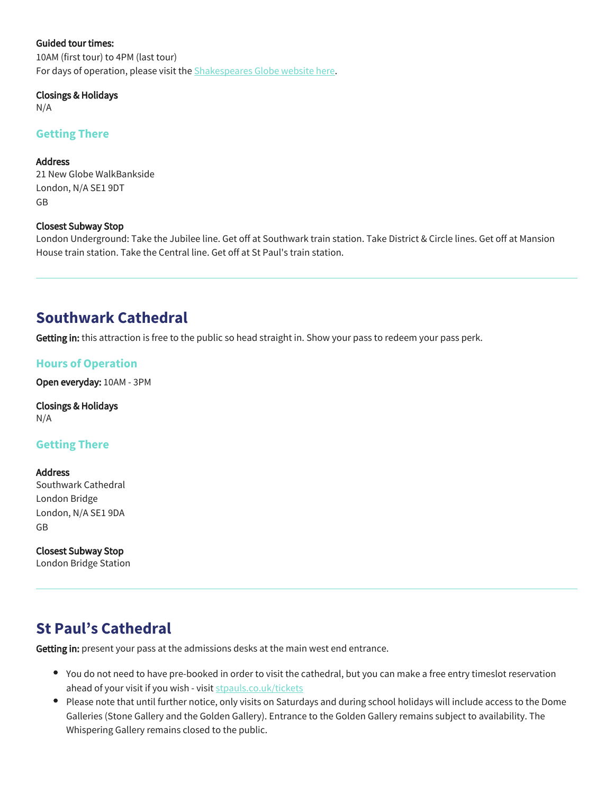#### Guided tour times:

10AM (first tour) to 4PM (last tour) For days of operation, please visit the **[Shakespeares Globe website here](https://www.shakespearesglobe.com/whats-on/globe-theatre-guided-tour/#book)**.

#### Closings & Holidays

N/A

### **Getting There**

Address

21 New Globe WalkBankside London, N/A SE1 9DT GB

#### Closest Subway Stop

London Underground: Take the Jubilee line. Get off at Southwark train station. Take District & Circle lines. Get off at Mansion House train station. Take the Central line. Get off at St Paul's train station.

## **Southwark Cathedral**

Getting in: this attraction is free to the public so head straight in. Show your pass to redeem your pass perk.

## **Hours of Operation**

Open everyday: 10AM - 3PM

Closings & Holidays N/A

## **Getting There**

Address Southwark Cathedral London Bridge London, N/A SE1 9DA GB

Closest Subway Stop London Bridge Station

# **St Paul's Cathedral**

Getting in: present your pass at the admissions desks at the main west end entrance.

- You do not need to have pre-booked in order to visit the cathedral, but you can make a free entry timeslot reservation ahead of your visit if you wish - visit [stpauls.co.uk/tickets](https://www.stpauls.co.uk/tickets)
- Please note that until further notice, only visits on Saturdays and during school holidays will include access to the Dome Galleries (Stone Gallery and the Golden Gallery). Entrance to the Golden Gallery remains subject to availability. The Whispering Gallery remains closed to the public.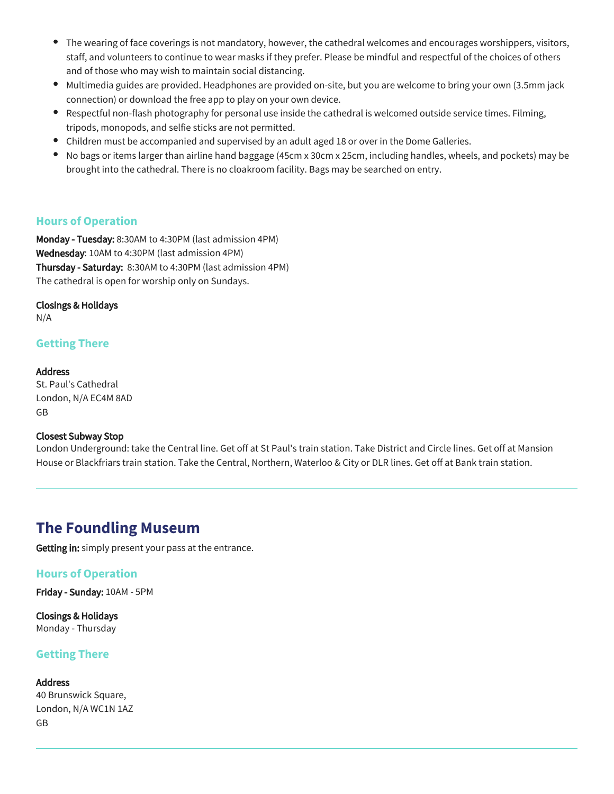- $\bullet$ The wearing of face coverings is not mandatory, however, the cathedral welcomes and encourages worshippers, visitors, staff, and volunteers to continue to wear masks if they prefer. Please be mindful and respectful of the choices of others and of those who may wish to maintain social distancing.
- Multimedia guides are provided. Headphones are provided on-site, but you are welcome to bring your own (3.5mm jack connection) or download the free app to play on your own device.
- Respectful non-flash photography for personal use inside the cathedral is welcomed outside service times. Filming, tripods, monopods, and selfie sticks are not permitted.
- Children must be accompanied and supervised by an adult aged 18 or over in the Dome Galleries.
- $\bullet$ No bags or items larger than airline hand baggage (45cm x 30cm x 25cm, including handles, wheels, and pockets) may be brought into the cathedral. There is no cloakroom facility. Bags may be searched on entry.

## **Hours of Operation**

Monday - Tuesday: 8:30AM to 4:30PM (last admission 4PM) Wednesday: 10AM to 4:30PM (last admission 4PM) Thursday - Saturday: 8:30AM to 4:30PM (last admission 4PM) The cathedral is open for worship only on Sundays.

#### Closings & Holidays

N/A

## **Getting There**

#### **Address** St. Paul's Cathedral

London, N/A EC4M 8AD GB

#### Closest Subway Stop

London Underground: take the Central line. Get off at St Paul's train station. Take District and Circle lines. Get off at Mansion House or Blackfriars train station. Take the Central, Northern, Waterloo & City or DLR lines. Get off at Bank train station.

## **The Foundling Museum**

Getting in: simply present your pass at the entrance.

## **Hours of Operation**

Friday - Sunday: 10AM - 5PM

Closings & Holidays Monday - Thursday

## **Getting There**

Address 40 Brunswick Square, London, N/A WC1N 1AZ GB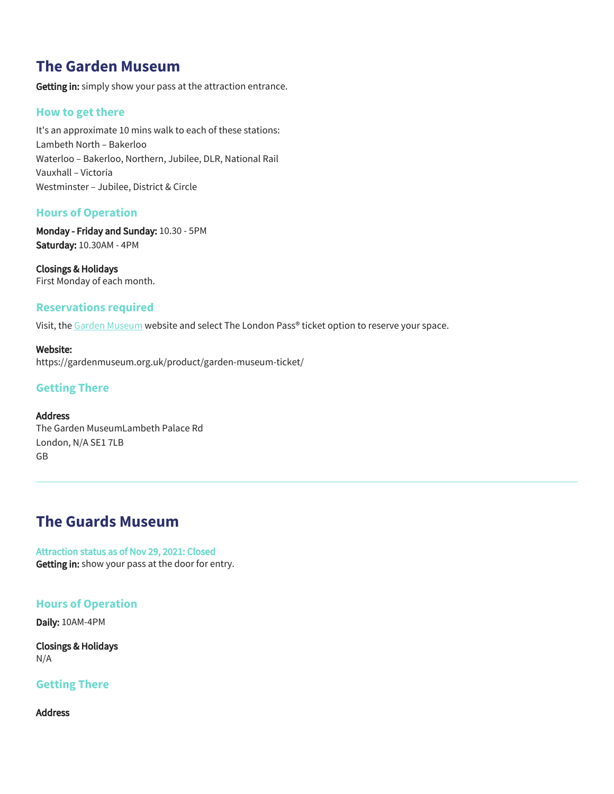# **The Garden Museum**

Getting in: simply show your pass at the attraction entrance.

## **How to get there**

It's an approximate 10 mins walk to each of these stations: Lambeth North – Bakerloo Waterloo – Bakerloo, Northern, Jubilee, DLR, National Rail Vauxhall – Victoria Westminster – Jubilee, District & Circle

## **Hours of Operation**

Monday - Friday and Sunday: 10.30 - 5PM Saturday: 10.30AM - 4PM

Closings & Holidays First Monday of each month.

## **Reservations required**

Visit, the [Garden Museum](https://gardenmuseum.org.uk/product/garden-museum-ticket/) website and select The London Pass® ticket option to reserve your space.

Website: https://gardenmuseum.org.uk/product/garden-museum-ticket/

## **Getting There**

## Address

The Garden MuseumLambeth Palace Rd London, N/A SE1 7LB GB

## **The Guards Museum**

Attraction status as of Nov 29, 2021: Closed Getting in: show your pass at the door for entry.

#### **Hours of Operation**

Daily: 10AM-4PM

Closings & Holidays N/A

## **Getting There**

Address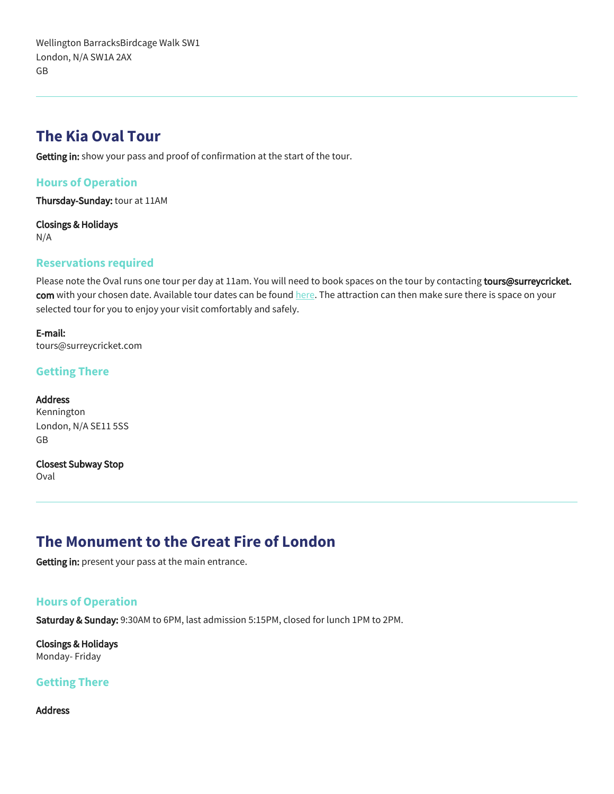Wellington BarracksBirdcage Walk SW1 London, N/A SW1A 2AX GB

## **The Kia Oval Tour**

Getting in: show your pass and proof of confirmation at the start of the tour.

## **Hours of Operation**

Thursday-Sunday: tour at 11AM

Closings & Holidays N/A

### **Reservations required**

Please note the Oval runs one tour per day at 11am. You will need to book spaces on the tour by contacting tours@surreycricket. com with your chosen date. Available tour dates can be found [here.](https://bookings.kiaoval.com/tours/booking/default.htm) The attraction can then make sure there is space on your selected tour for you to enjoy your visit comfortably and safely.

E-mail: tours@surreycricket.com

## **Getting There**

**Address** Kennington London, N/A SE11 5SS GB

Closest Subway Stop

Oval

# **The Monument to the Great Fire of London**

Getting in: present your pass at the main entrance.

## **Hours of Operation**

Saturday & Sunday: 9:30AM to 6PM, last admission 5:15PM, closed for lunch 1PM to 2PM.

Closings & Holidays Monday- Friday

## **Getting There**

Address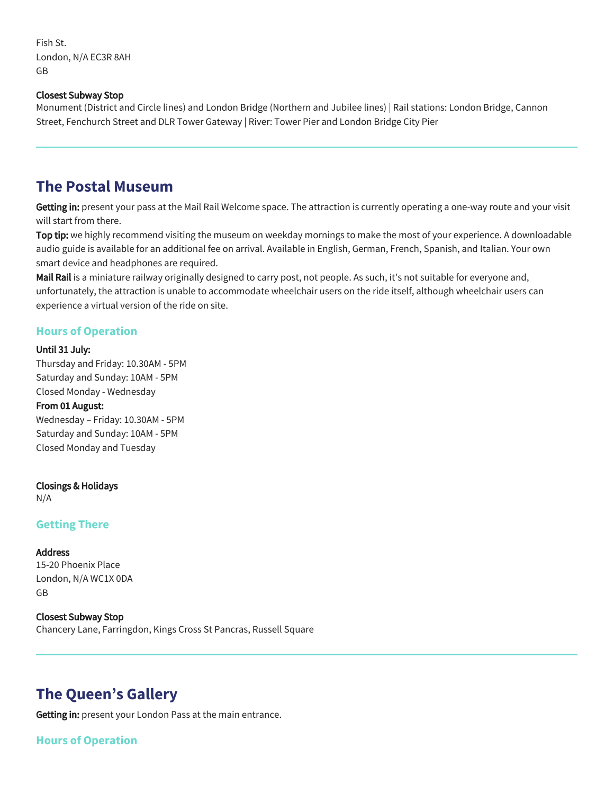Fish St. London, N/A EC3R 8AH GB

#### Closest Subway Stop

Monument (District and Circle lines) and London Bridge (Northern and Jubilee lines) | Rail stations: London Bridge, Cannon Street, Fenchurch Street and DLR Tower Gateway | River: Tower Pier and London Bridge City Pier

## **The Postal Museum**

Getting in: present your pass at the Mail Rail Welcome space. The attraction is currently operating a one-way route and your visit will start from there.

Top tip: we highly recommend visiting the museum on weekday mornings to make the most of your experience. A downloadable audio guide is available for an additional fee on arrival. Available in English, German, French, Spanish, and Italian. Your own smart device and headphones are required.

Mail Rail is a miniature railway originally designed to carry post, not people. As such, it's not suitable for everyone and, unfortunately, the attraction is unable to accommodate wheelchair users on the ride itself, although wheelchair users can experience a virtual version of the ride on site.

### **Hours of Operation**

#### Until 31 July:

Thursday and Friday: 10.30AM - 5PM Saturday and Sunday: 10AM - 5PM Closed Monday - Wednesday

#### From 01 August:

Wednesday – Friday: 10.30AM - 5PM Saturday and Sunday: 10AM - 5PM Closed Monday and Tuesday

#### Closings & Holidays

N/A

## **Getting There**

#### **Address**

15-20 Phoenix Place London, N/A WC1X 0DA GB

#### Closest Subway Stop

Chancery Lane, Farringdon, Kings Cross St Pancras, Russell Square

## **The Queen's Gallery**

Getting in: present your London Pass at the main entrance.

## **Hours of Operation**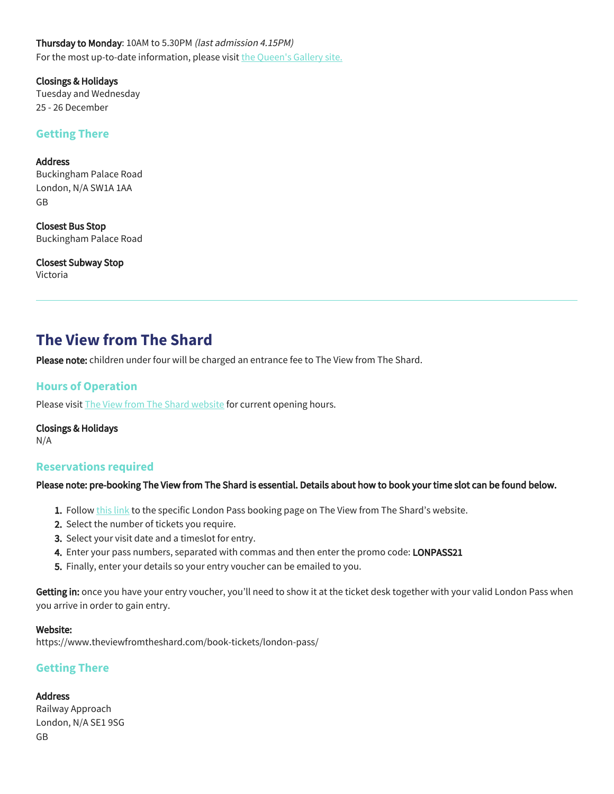Thursday to Monday: 10AM to 5.30PM (last admission 4.15PM) For the most up-to-date information, please visit [the Queen's Gallery site.](https://www.rct.uk/visit/the-queens-gallery-buckingham-palace)

Closings & Holidays Tuesday and Wednesday 25 - 26 December

#### **Getting There**

Address Buckingham Palace Road London, N/A SW1A 1AA GB

Closest Bus Stop Buckingham Palace Road

Closest Subway Stop Victoria

## **The View from The Shard**

Please note: children under four will be charged an entrance fee to The View from The Shard.

## **Hours of Operation**

Please visit **The View from The Shard website** for current opening hours.

Closings & Holidays N/A

#### **Reservations required**

#### Please note: pre-booking The View from The Shard is essential. Details about how to book your time slot can be found below.

- **1.** Follow <u>this link</u> to the specific London Pass booking page on The View from The Shard's website.
- 2. Select the number of tickets you require.
- 3. Select your visit date and a timeslot for entry.
- **4.** Enter your pass numbers, separated with commas and then enter the promo code: **LONPASS21**
- 5. Finally, enter your details so your entry voucher can be emailed to you.

Getting in: once you have your entry voucher, you'll need to show it at the ticket desk together with your valid London Pass when you arrive in order to gain entry.

#### Website:

https://www.theviewfromtheshard.com/book-tickets/london-pass/

## **Getting There**

Address Railway Approach London, N/A SE1 9SG GB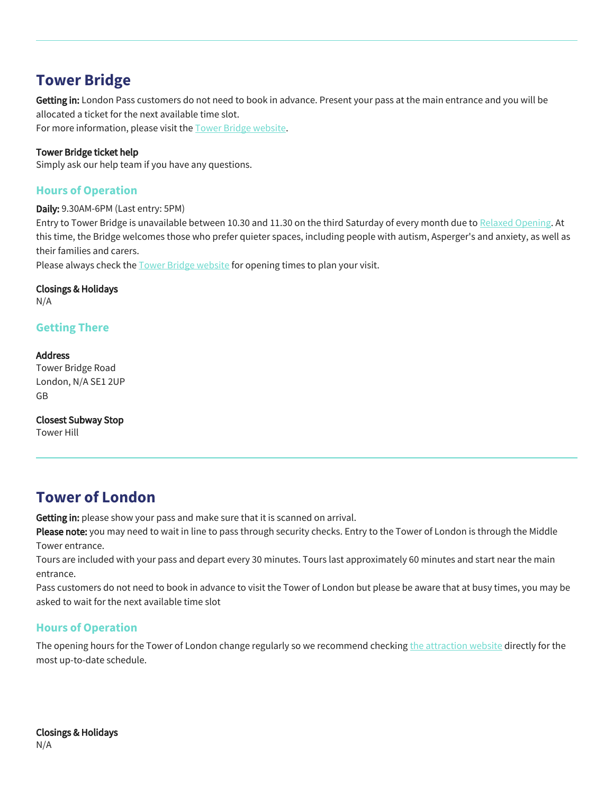# **Tower Bridge**

Getting in: London Pass customers do not need to book in advance. Present your pass at the main entrance and you will be allocated a ticket for the next available time slot.

For more information, please visit the [Tower Bridge website](https://www.towerbridge.org.uk/your-visit/visitor-information).

### Tower Bridge ticket help

Simply ask our help team if you have any questions.

## **Hours of Operation**

Daily: 9.30AM-6PM (Last entry: 5PM)

Entry to Tower Bridge is unavailable between 10.30 and 11.30 on the third Saturday of every month due to [Relaxed Opening.](https://www.towerbridge.org.uk/whats-on/relaxed-opening) At this time, the Bridge welcomes those who prefer quieter spaces, including people with autism, Asperger's and anxiety, as well as their families and carers.

Please always check the [Tower Bridge website](https://www.towerbridge.org.uk/your-visit/visitor-information%A0) for opening times to plan your visit.

Closings & Holidays N/A

## **Getting There**

Address Tower Bridge Road London, N/A SE1 2UP GB

Closest Subway Stop Tower Hill

# **Tower of London**

Getting in: please show your pass and make sure that it is scanned on arrival.

Please note: you may need to wait in line to pass through security checks. Entry to the Tower of London is through the Middle Tower entrance.

Tours are included with your pass and depart every 30 minutes. Tours last approximately 60 minutes and start near the main entrance.

Pass customers do not need to book in advance to visit the Tower of London but please be aware that at busy times, you may be asked to wait for the next available time slot

## **Hours of Operation**

The opening hours for the Tower of London change regularly so we recommend checking [the attraction website](https://www.hrp.org.uk/tower-of-london/#gs.f9hcgw) directly for the most up-to-date schedule.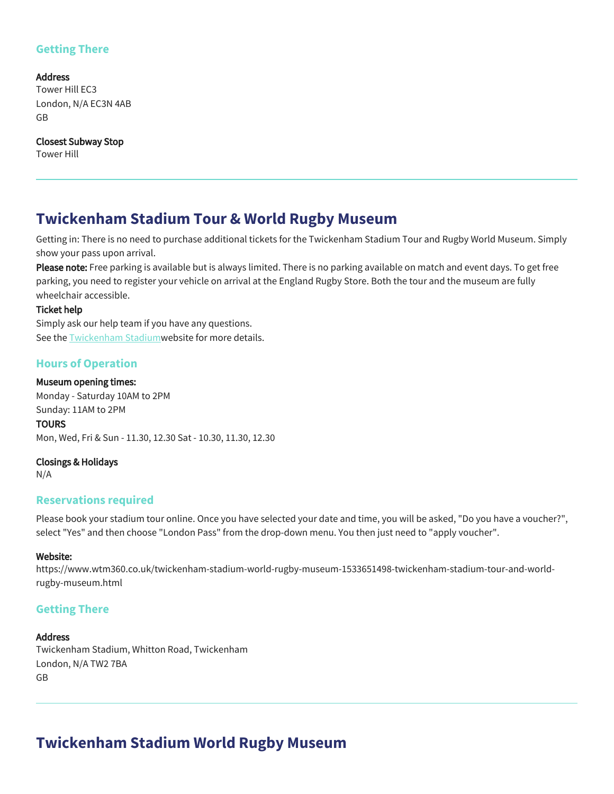## **Getting There**

Address Tower Hill EC3 London, N/A EC3N 4AB GB

Closest Subway Stop Tower Hill

## **Twickenham Stadium Tour & World Rugby Museum**

Getting in: There is no need to purchase additional tickets for the Twickenham Stadium Tour and Rugby World Museum. Simply show your pass upon arrival.

Please note: Free parking is available but is always limited. There is no parking available on match and event days. To get free parking, you need to register your vehicle on arrival at the England Rugby Store. Both the tour and the museum are fully wheelchair accessible.

#### Ticket help

Simply ask our help team if you have any questions. See the [Twickenham Stadium](http://www.worldrugbymuseum.com/visit)website for more details.

## **Hours of Operation**

#### Museum opening times:

Monday - Saturday 10AM to 2PM Sunday: 11AM to 2PM **TOURS** Mon, Wed, Fri & Sun - 11.30, 12.30 Sat - 10.30, 11.30, 12.30

Closings & Holidays

N/A

## **Reservations required**

Please book your stadium tour online. Once you have selected your date and time, you will be asked, "Do you have a voucher?", select "Yes" and then choose "London Pass" from the drop-down menu. You then just need to "apply voucher".

#### Website:

https://www.wtm360.co.uk/twickenham-stadium-world-rugby-museum-1533651498-twickenham-stadium-tour-and-worldrugby-museum.html

## **Getting There**

#### **Address**

Twickenham Stadium, Whitton Road, Twickenham London, N/A TW2 7BA GB

# **Twickenham Stadium World Rugby Museum**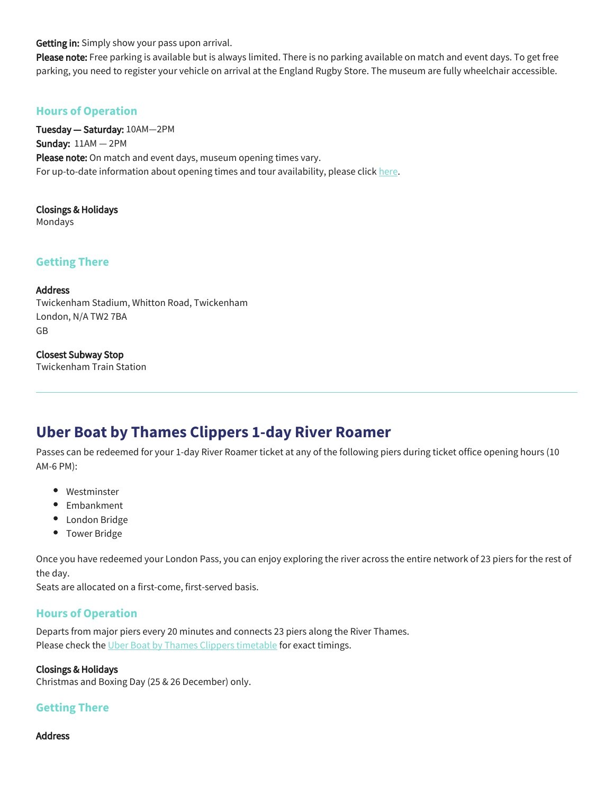Getting in: Simply show your pass upon arrival.

Please note: Free parking is available but is always limited. There is no parking available on match and event days. To get free parking, you need to register your vehicle on arrival at the England Rugby Store. The museum are fully wheelchair accessible.

## **Hours of Operation**

Tuesday — Saturday: 10AM—2PM Sunday: 11AM — 2PM Please note: On match and event days, museum opening times vary. For up-to-date information about opening times and tour availability, please click [here.](https://www.wtm360.co.uk/twickenham-stadium-world-rugby-museum-1533651498-twickenham-stadium-tour-and-world-rugby-museum.html)

Closings & Holidays Mondays

## **Getting There**

#### Address

Twickenham Stadium, Whitton Road, Twickenham London, N/A TW2 7BA GB

#### Closest Subway Stop

Twickenham Train Station

## **Uber Boat by Thames Clippers 1-day River Roamer**

Passes can be redeemed for your 1-day River Roamer ticket at any of the following piers during ticket office opening hours (10 AM-6 PM):

- Westminster
- Embankment
- London Bridge
- Tower Bridge

Once you have redeemed your London Pass, you can enjoy exploring the river across the entire network of 23 piers for the rest of the day.

Seats are allocated on a first-come, first-served basis.

#### **Hours of Operation**

Departs from major piers every 20 minutes and connects 23 piers along the River Thames. Please check the [Uber Boat by Thames Clippers timetable](https://www.thamesclippers.com/plan-your-journey/timetable) for exact timings.

#### Closings & Holidays

Christmas and Boxing Day (25 & 26 December) only.

## **Getting There**

Address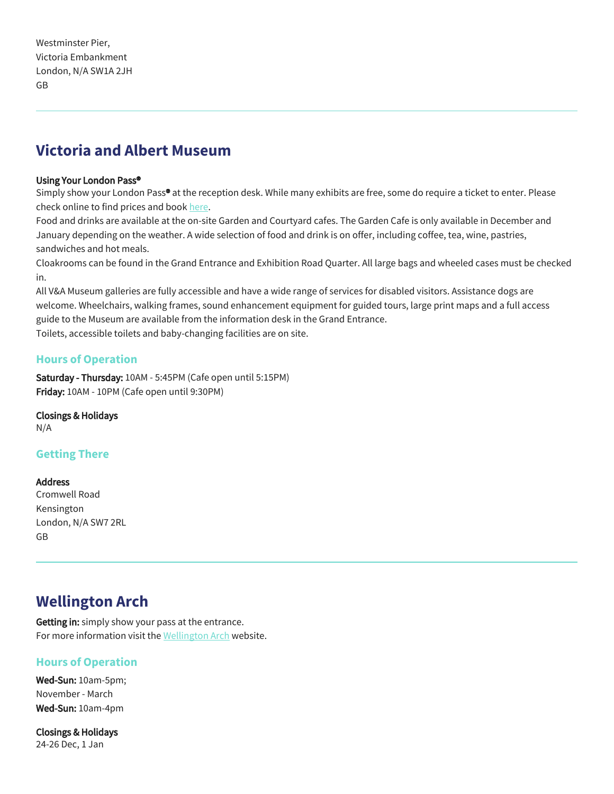# **Victoria and Albert Museum**

#### Using Your London Pass®

Simply show your London Pass® at the reception desk. While many exhibits are free, some do require a ticket to enter. Please check online to find prices and book [here.](https://www.vam.ac.uk/whatson)

Food and drinks are available at the on-site Garden and Courtyard cafes. The Garden Cafe is only available in December and January depending on the weather. A wide selection of food and drink is on offer, including coffee, tea, wine, pastries, sandwiches and hot meals.

Cloakrooms can be found in the Grand Entrance and Exhibition Road Quarter. All large bags and wheeled cases must be checked in.

All V&A Museum galleries are fully accessible and have a wide range of services for disabled visitors. Assistance dogs are welcome. Wheelchairs, walking frames, sound enhancement equipment for guided tours, large print maps and a full access guide to the Museum are available from the information desk in the Grand Entrance.

Toilets, accessible toilets and baby-changing facilities are on site.

## **Hours of Operation**

Saturday - Thursday: 10AM - 5:45PM (Cafe open until 5:15PM) Friday: 10AM - 10PM (Cafe open until 9:30PM)

Closings & Holidays

N/A

## **Getting There**

#### **Address**

Cromwell Road Kensington London, N/A SW7 2RL GB

# **Wellington Arch**

Getting in: simply show your pass at the entrance. For more information visit the [Wellington Arch](https://www.english-heritage.org.uk/visit/places/wellington-arch/) website.

## **Hours of Operation**

Wed-Sun: 10am-5pm; November - March Wed-Sun: 10am-4pm

Closings & Holidays 24-26 Dec, 1 Jan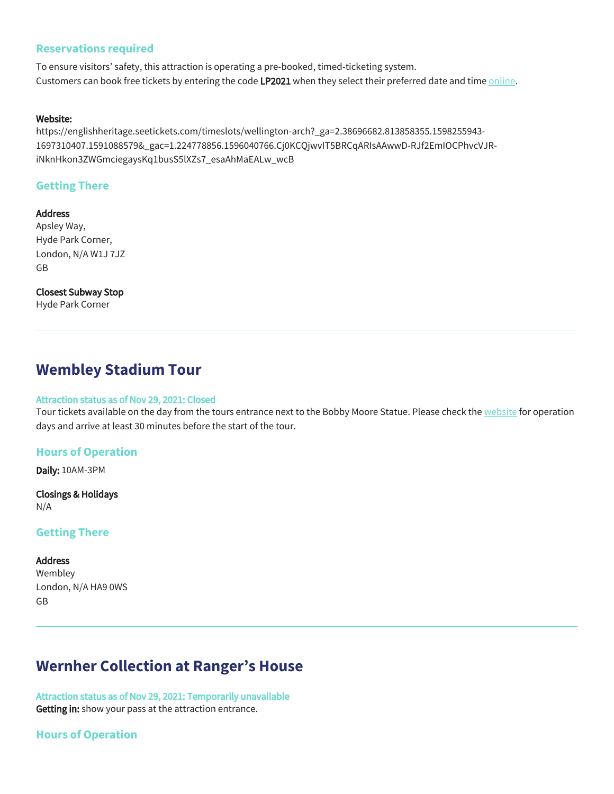### **Reservations required**

To ensure visitors' safety, this attraction is operating a pre-booked, timed-ticketing system. Customers can book free tickets by entering the code LP2021 when they select their preferred date and time [online.](https://englishheritage.seetickets.com/timeslots/wellington-arch?_ga=2.38696682.813858355.1598255943-1697310407.1591088579&_gac=1.224778856.1596040766.Cj0KCQjwvIT5BRCqARIsAAwwD-RJf2EmIOCPhvcVJR-iNknHkon3ZWGmciegaysKq1busS5lXZs7_esaAhMaEALw_wcB)

#### Website:

https://englishheritage.seetickets.com/timeslots/wellington-arch?\_ga=2.38696682.813858355.1598255943- 1697310407.1591088579&\_gac=1.224778856.1596040766.Cj0KCQjwvIT5BRCqARIsAAwwD-RJf2EmIOCPhvcVJRiNknHkon3ZWGmciegaysKq1busS5lXZs7\_esaAhMaEALw\_wcB

### **Getting There**

**Address** Apsley Way, Hyde Park Corner, London, N/A W1J 7JZ GB

Closest Subway Stop Hyde Park Corner

## **Wembley Stadium Tour**

#### Attraction status as of Nov 29, 2021: Closed

Tour tickets available on the day from the tours entrance next to the Bobby Moore Statue. Please check the [website](https://bookings.wembleytours.com/stadiumtours/home.htm) for operation days and arrive at least 30 minutes before the start of the tour.

#### **Hours of Operation**

Daily: 10AM-3PM

Closings & Holidays N/A

#### **Getting There**

#### **Address**

Wembley London, N/A HA9 0WS GB

# **Wernher Collection at Ranger's House**

Attraction status as of Nov 29, 2021: Temporarily unavailable Getting in: show your pass at the attraction entrance.

## **Hours of Operation**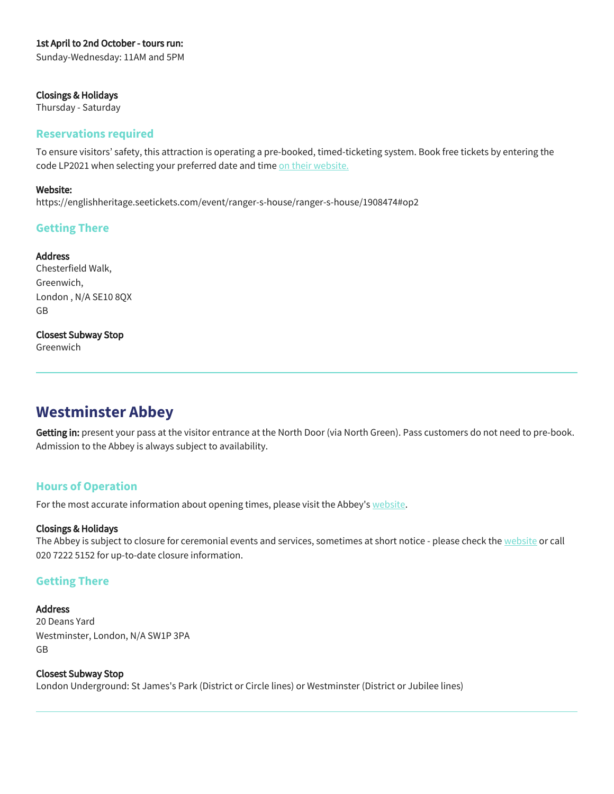#### 1st April to 2nd October - tours run:

Sunday-Wednesday: 11AM and 5PM

#### Closings & Holidays

Thursday - Saturday

#### **Reservations required**

To ensure visitors' safety, this attraction is operating a pre-booked, timed-ticketing system. Book free tickets by entering the code LP2021 when selecting your preferred date and time [on their website.](https://englishheritage.seetickets.com/event/ranger-s-house/ranger-s-house/1908474#op2)

#### Website:

https://englishheritage.seetickets.com/event/ranger-s-house/ranger-s-house/1908474#op2

## **Getting There**

#### **Address**

Chesterfield Walk, Greenwich, London , N/A SE10 8QX GB

#### Closest Subway Stop

Greenwich

# **Westminster Abbey**

Getting in: present your pass at the visitor entrance at the North Door (via North Green). Pass customers do not need to pre-book. Admission to the Abbey is always subject to availability.

## **Hours of Operation**

For the most accurate information about opening times, please visit the Abbey's [website](https://www.westminster-abbey.org/visit-us/prices-entry-times).

#### Closings & Holidays

The Abbey is subject to closure for ceremonial events and services, sometimes at short notice - please check the [website](https://www.westminster-abbey.org/visit-us/prices-entry-times) or call 020 7222 5152 for up-to-date closure information.

## **Getting There**

#### Address

20 Deans Yard Westminster, London, N/A SW1P 3PA GB

Closest Subway Stop London Underground: St James's Park (District or Circle lines) or Westminster (District or Jubilee lines)